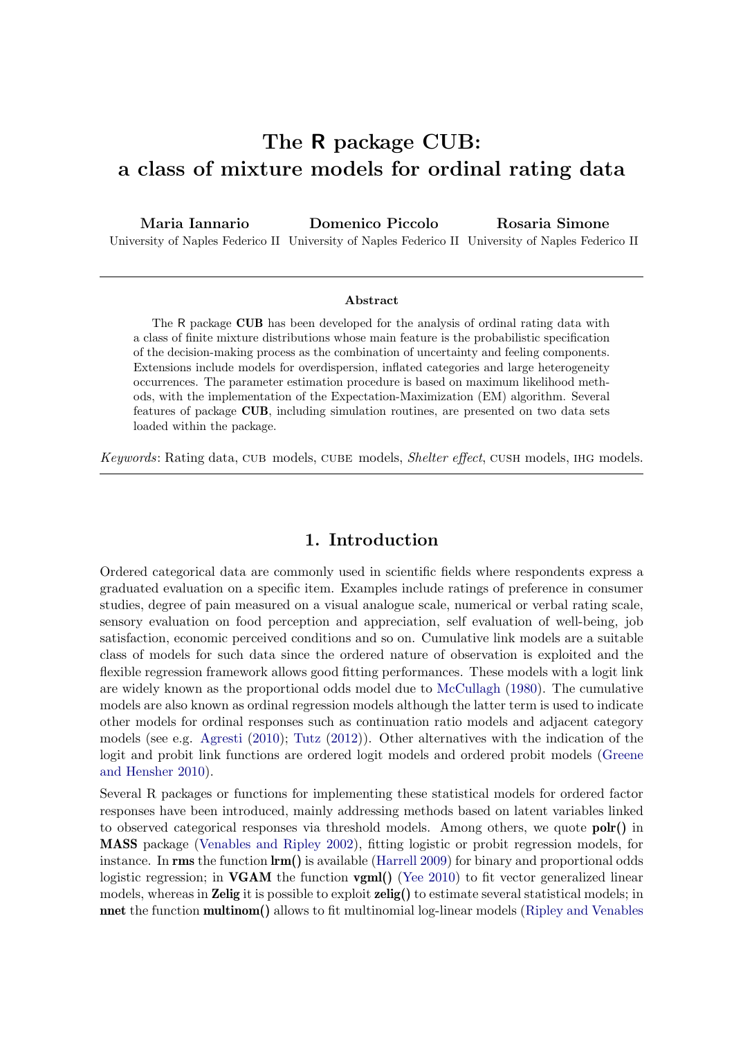# The R package CUB: a class of mixture models for ordinal rating data

Maria Iannario University of Naples Federico II University of Naples Federico II University of Naples Federico II Domenico Piccolo Rosaria Simone

#### Abstract

The R package CUB has been developed for the analysis of ordinal rating data with a class of finite mixture distributions whose main feature is the probabilistic specification of the decision-making process as the combination of uncertainty and feeling components. Extensions include models for overdispersion, inflated categories and large heterogeneity occurrences. The parameter estimation procedure is based on maximum likelihood methods, with the implementation of the Expectation-Maximization (EM) algorithm. Several features of package CUB, including simulation routines, are presented on two data sets loaded within the package.

Keywords: Rating data, CUB models, CUBE models, Shelter effect, CUSH models, IHG models.

## 1. Introduction

Ordered categorical data are commonly used in scientific fields where respondents express a graduated evaluation on a specific item. Examples include ratings of preference in consumer studies, degree of pain measured on a visual analogue scale, numerical or verbal rating scale, sensory evaluation on food perception and appreciation, self evaluation of well-being, job satisfaction, economic perceived conditions and so on. Cumulative link models are a suitable class of models for such data since the ordered nature of observation is exploited and the flexible regression framework allows good fitting performances. These models with a logit link are widely known as the proportional odds model due to [McCullagh](#page-35-0) [\(1980\)](#page-35-0). The cumulative models are also known as ordinal regression models although the latter term is used to indicate other models for ordinal responses such as continuation ratio models and adjacent category models (see e.g. [Agresti](#page-31-0) [\(2010\)](#page-31-0); [Tutz](#page-35-1) [\(2012\)](#page-35-1)). Other alternatives with the indication of the logit and probit link functions are ordered logit models and ordered probit models [\(Greene](#page-33-0) [and Hensher](#page-33-0) [2010\)](#page-33-0).

Several R packages or functions for implementing these statistical models for ordered factor responses have been introduced, mainly addressing methods based on latent variables linked to observed categorical responses via threshold models. Among others, we quote polr() in MASS package [\(Venables and Ripley](#page-35-2) [2002\)](#page-35-2), fitting logistic or probit regression models, for instance. In rms the function  $\text{lm}()$  is available [\(Harrell](#page-33-1) [2009\)](#page-33-1) for binary and proportional odds logistic regression; in **VGAM** the function **vgml()** [\(Yee](#page-35-3) [2010\)](#page-35-3) to fit vector generalized linear models, whereas in **Zelig** it is possible to exploit **zelig()** to estimate several statistical models; in nnet the function multinom() allows to fit multinomial log-linear models [\(Ripley and Venables](#page-35-4)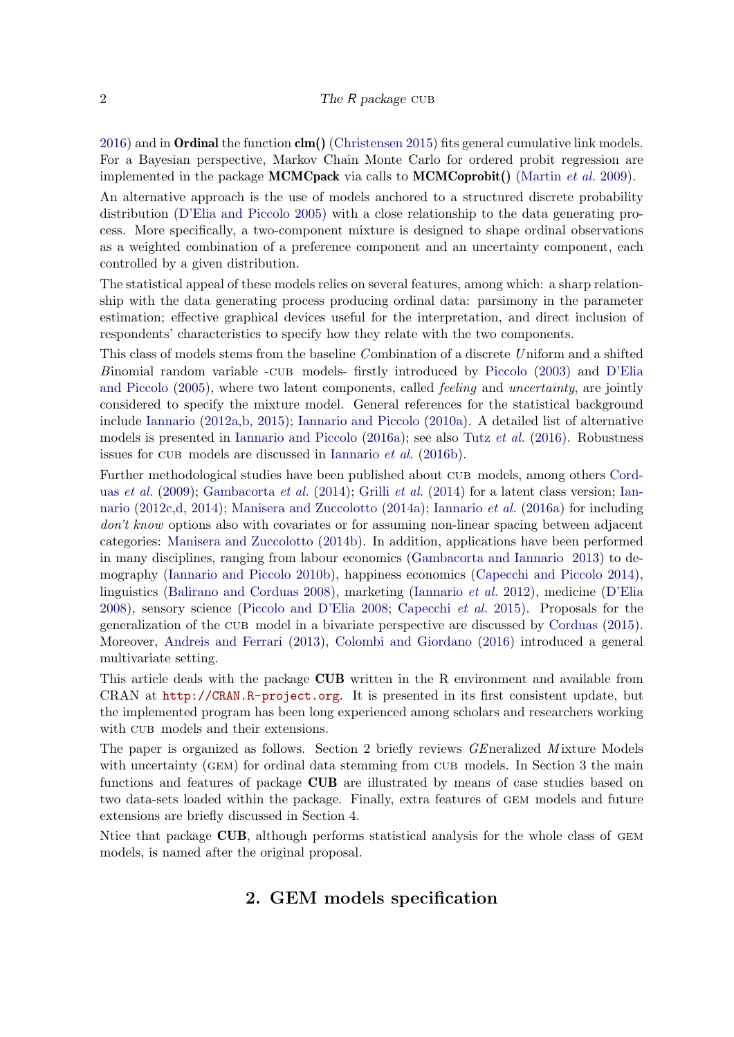$2016$ ) and in **Ordinal** the function  $\text{clm}()$  [\(Christensen](#page-32-0) [2015\)](#page-32-0) fits general cumulative link models. For a Bayesian perspective, Markov Chain Monte Carlo for ordered probit regression are implemented in the package **MCMCpack** via calls to **MCMCoprobit**() [\(Martin](#page-35-5) *et al.* [2009\)](#page-35-5).

An alternative approach is the use of models anchored to a structured discrete probability distribution [\(D'Elia and Piccolo](#page-33-2) [2005\)](#page-33-2) with a close relationship to the data generating process. More specifically, a two-component mixture is designed to shape ordinal observations as a weighted combination of a preference component and an uncertainty component, each controlled by a given distribution.

The statistical appeal of these models relies on several features, among which: a sharp relationship with the data generating process producing ordinal data: parsimony in the parameter estimation; effective graphical devices useful for the interpretation, and direct inclusion of respondents' characteristics to specify how they relate with the two components.

This class of models stems from the baseline Combination of a discrete Uniform and a shifted Binomial random variable -cub models- firstly introduced by [Piccolo](#page-35-6) [\(2003\)](#page-35-6) and [D'Elia](#page-33-2) [and Piccolo](#page-33-2) [\(2005\)](#page-33-2), where two latent components, called feeling and uncertainty, are jointly considered to specify the mixture model. General references for the statistical background include [Iannario](#page-33-3) [\(2012a](#page-33-3)[,b,](#page-34-0) [2015\)](#page-34-1); [Iannario and Piccolo](#page-34-2) [\(2010a\)](#page-34-2). A detailed list of alternative models is presented in [Iannario and Piccolo](#page-34-3) [\(2016a\)](#page-34-3); see also Tutz [et al.](#page-35-7) [\(2016\)](#page-35-7). Robustness issues for CUB models are discussed in [Iannario](#page-34-4) *et al.* [\(2016b\)](#page-34-4).

Further methodological studies have been published about cub models, among others [Cord](#page-33-4)uas [et al.](#page-33-4)  $(2009)$ ; [Gambacorta](#page-33-5) et al.  $(2014)$ ; [Grilli](#page-33-6) et al.  $(2014)$  for a latent class version; [Ian](#page-34-5)[nario](#page-34-5) [\(2012c,](#page-34-5)[d,](#page-34-6) [2014\)](#page-34-7); [Manisera and Zuccolotto](#page-34-8) [\(2014a\)](#page-34-8); [Iannario](#page-34-9) et al. [\(2016a\)](#page-34-9) for including don't know options also with covariates or for assuming non-linear spacing between adjacent categories: [Manisera and Zuccolotto](#page-35-8) [\(2014b\)](#page-35-8). In addition, applications have been performed in many disciplines, ranging from labour economics [\(Gambacorta and Iannario](#page-33-7) [2013\)](#page-33-7) to demography [\(Iannario and Piccolo](#page-34-10) [2010b\)](#page-34-10), happiness economics [\(Capecchi and Piccolo](#page-32-1) [2014\)](#page-32-1), linguistics [\(Balirano and Corduas](#page-31-1) [2008\)](#page-31-1), marketing [\(Iannario](#page-34-11) et al. [2012\)](#page-34-11), medicine [\(D'Elia](#page-33-8) [2008\)](#page-33-8), sensory science [\(Piccolo and D'Elia](#page-35-9) [2008;](#page-35-9) [Capecchi](#page-32-2) et al. [2015\)](#page-32-2). Proposals for the generalization of the cub model in a bivariate perspective are discussed by [Corduas](#page-33-9) [\(2015\)](#page-33-9). Moreover, [Andreis and Ferrari](#page-31-2) [\(2013\)](#page-31-2), [Colombi and Giordano](#page-33-10) [\(2016\)](#page-33-10) introduced a general multivariate setting.

This article deals with the package **CUB** written in the R environment and available from CRAN at <http://CRAN.R-project.org>. It is presented in its first consistent update, but the implemented program has been long experienced among scholars and researchers working with CUB models and their extensions.

The paper is organized as follows. Section 2 briefly reviews *GE*neralized *M* ixture Models with uncertainty (GEM) for ordinal data stemming from CUB models. In Section 3 the main functions and features of package CUB are illustrated by means of case studies based on two data-sets loaded within the package. Finally, extra features of gem models and future extensions are briefly discussed in Section 4.

<span id="page-1-0"></span>Ntice that package CUB, although performs statistical analysis for the whole class of gem models, is named after the original proposal.

## 2. GEM models specification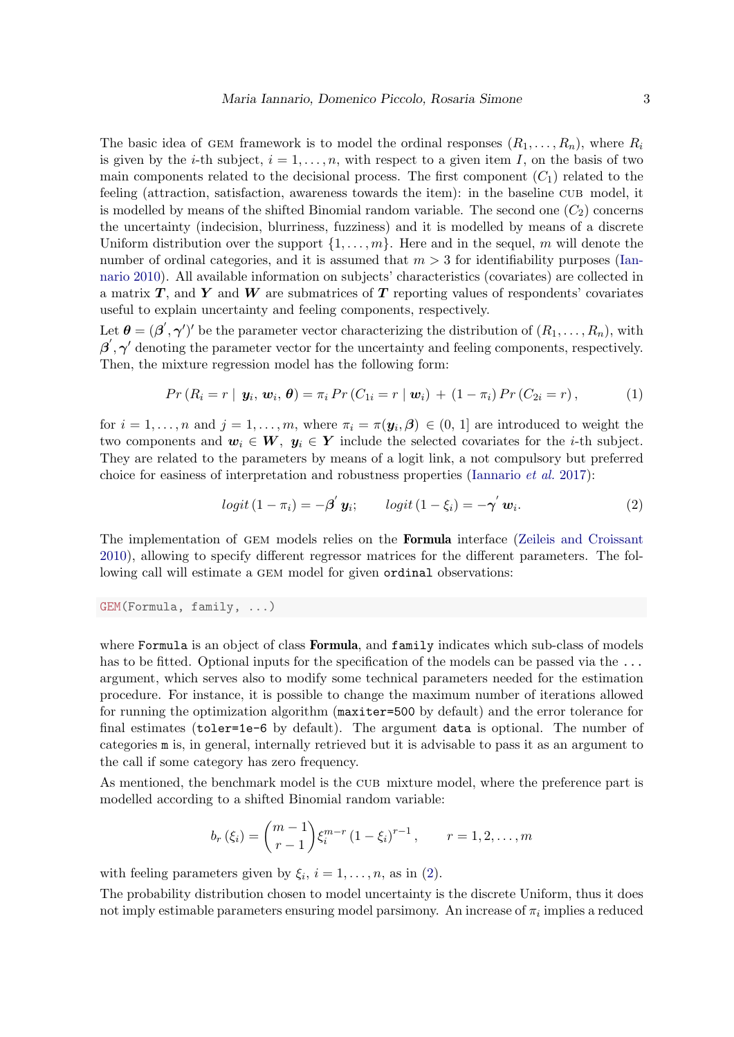The basic idea of GEM framework is to model the ordinal responses  $(R_1, \ldots, R_n)$ , where  $R_i$ is given by the *i*-th subject,  $i = 1, \ldots, n$ , with respect to a given item I, on the basis of two main components related to the decisional process. The first component  $(C_1)$  related to the feeling (attraction, satisfaction, awareness towards the item): in the baseline cub model, it is modelled by means of the shifted Binomial random variable. The second one  $(C_2)$  concerns the uncertainty (indecision, blurriness, fuzziness) and it is modelled by means of a discrete Uniform distribution over the support  $\{1, \ldots, m\}$ . Here and in the sequel, m will denote the number of ordinal categories, and it is assumed that  $m > 3$  for identifiability purposes [\(Ian](#page-33-11)[nario](#page-33-11) [2010\)](#page-33-11). All available information on subjects' characteristics (covariates) are collected in a matrix  $T$ , and  $Y$  and  $W$  are submatrices of  $T$  reporting values of respondents' covariates useful to explain uncertainty and feeling components, respectively.

Let  $\boldsymbol{\theta} = (\boldsymbol{\beta}', \boldsymbol{\gamma}')'$  be the parameter vector characterizing the distribution of  $(R_1, \ldots, R_n)$ , with  $\beta', \gamma'$  denoting the parameter vector for the uncertainty and feeling components, respectively. Then, the mixture regression model has the following form:

$$
Pr(R_i = r | y_i, w_i, \theta) = \pi_i Pr(C_{1i} = r | w_i) + (1 - \pi_i) Pr(C_{2i} = r), \qquad (1)
$$

for  $i = 1, \ldots, n$  and  $j = 1, \ldots, m$ , where  $\pi_i = \pi(\mathbf{y}_i, \boldsymbol{\beta}) \in (0, 1]$  are introduced to weight the two components and  $w_i \in W$ ,  $y_i \in Y$  include the selected covariates for the *i*-th subject. They are related to the parameters by means of a logit link, a not compulsory but preferred choice for easiness of interpretation and robustness properties [\(Iannario](#page-34-12) et al. [2017\)](#page-34-12):

<span id="page-2-1"></span><span id="page-2-0"></span>
$$
logit (1 - \pi_i) = -\beta' y_i; \qquad logit (1 - \xi_i) = -\gamma' w_i.
$$
 (2)

The implementation of GEM models relies on the **Formula** interface [\(Zeileis and Croissant](#page-35-10) [2010\)](#page-35-10), allowing to specify different regressor matrices for the different parameters. The following call will estimate a GEM model for given ordinal observations:

GEM(Formula, family, ...)

where Formula is an object of class **Formula**, and family indicates which sub-class of models has to be fitted. Optional inputs for the specification of the models can be passed via the ... argument, which serves also to modify some technical parameters needed for the estimation procedure. For instance, it is possible to change the maximum number of iterations allowed for running the optimization algorithm (maxiter=500 by default) and the error tolerance for final estimates (toler=1e-6 by default). The argument data is optional. The number of categories m is, in general, internally retrieved but it is advisable to pass it as an argument to the call if some category has zero frequency.

As mentioned, the benchmark model is the CUB mixture model, where the preference part is modelled according to a shifted Binomial random variable:

$$
b_r(\xi_i) = {m-1 \choose r-1} \xi_i^{m-r} (1-\xi_i)^{r-1}, \qquad r = 1, 2, ..., m
$$

with feeling parameters given by  $\xi_i$ ,  $i = 1, ..., n$ , as in [\(2\)](#page-2-0).

The probability distribution chosen to model uncertainty is the discrete Uniform, thus it does not imply estimable parameters ensuring model parsimony. An increase of  $\pi_i$  implies a reduced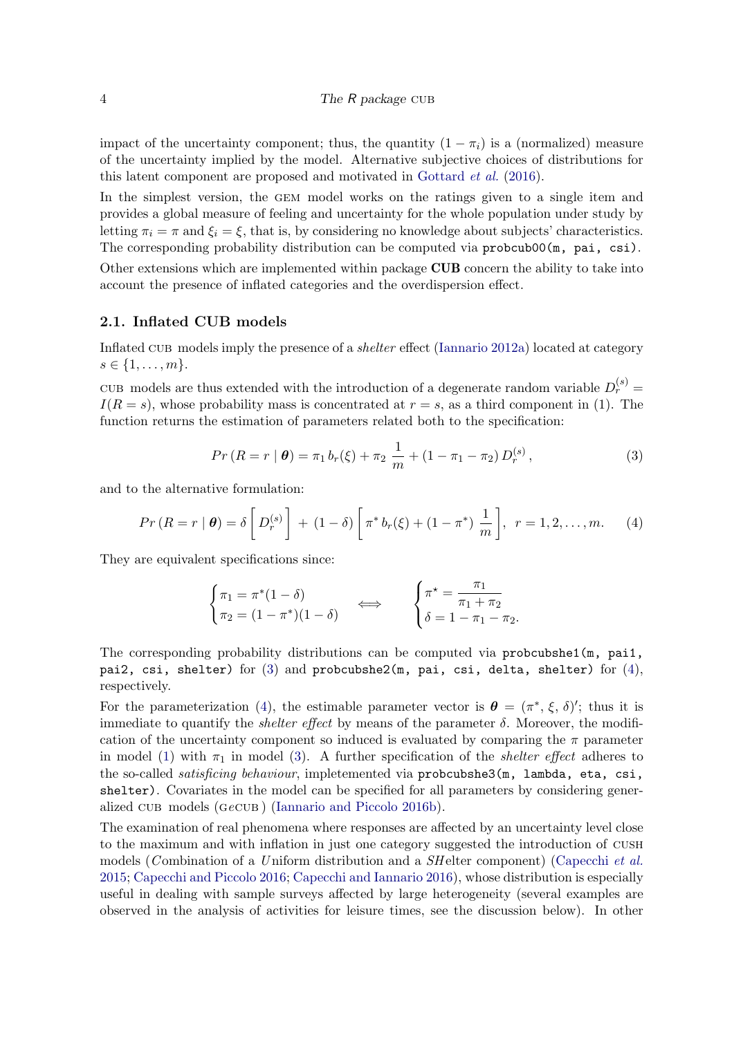impact of the uncertainty component; thus, the quantity  $(1 - \pi_i)$  is a (normalized) measure of the uncertainty implied by the model. Alternative subjective choices of distributions for this latent component are proposed and motivated in [Gottard](#page-33-12) et al. [\(2016\)](#page-33-12).

In the simplest version, the GEM model works on the ratings given to a single item and provides a global measure of feeling and uncertainty for the whole population under study by letting  $\pi_i = \pi$  and  $\xi_i = \xi$ , that is, by considering no knowledge about subjects' characteristics. The corresponding probability distribution can be computed via probcub00(m, pai, csi).

Other extensions which are implemented within package CUB concern the ability to take into account the presence of inflated categories and the overdispersion effect.

## 2.1. Inflated CUB models

Inflated cub models imply the presence of a shelter effect [\(Iannario](#page-33-3) [2012a\)](#page-33-3) located at category  $s \in \{1, \ldots, m\}.$ 

CUB models are thus extended with the introduction of a degenerate random variable  $D_r^{(s)} =$  $I(R = s)$ , whose probability mass is concentrated at  $r = s$ , as a third component in (1). The function returns the estimation of parameters related both to the specification:

<span id="page-3-1"></span><span id="page-3-0"></span>
$$
Pr(R = r | \boldsymbol{\theta}) = \pi_1 b_r(\xi) + \pi_2 \frac{1}{m} + (1 - \pi_1 - \pi_2) D_r^{(s)}, \qquad (3)
$$

and to the alternative formulation:

$$
Pr(R = r | \boldsymbol{\theta}) = \delta \left[ D_r^{(s)} \right] + (1 - \delta) \left[ \pi^* b_r(\xi) + (1 - \pi^*) \frac{1}{m} \right], \ r = 1, 2, \dots, m. \tag{4}
$$

They are equivalent specifications since:

$$
\begin{cases} \pi_1 = \pi^*(1 - \delta) \\ \pi_2 = (1 - \pi^*)(1 - \delta) \end{cases} \Longleftrightarrow \begin{cases} \pi^* = \frac{\pi_1}{\pi_1 + \pi_2} \\ \delta = 1 - \pi_1 - \pi_2. \end{cases}
$$

The corresponding probability distributions can be computed via probcubshe1(m, pai1, pai2, csi, shelter) for  $(3)$  and probcubshe2(m, pai, csi, delta, shelter) for  $(4)$ , respectively.

For the parameterization [\(4\)](#page-3-1), the estimable parameter vector is  $\boldsymbol{\theta} = (\pi^*, \xi, \delta)'$ ; thus it is immediate to quantify the *shelter effect* by means of the parameter  $\delta$ . Moreover, the modification of the uncertainty component so induced is evaluated by comparing the  $\pi$  parameter in model [\(1\)](#page-2-1) with  $\pi_1$  in model [\(3\)](#page-3-0). A further specification of the *shelter effect* adheres to the so-called *satisficing behaviour*, impletemented via probcubshe3(m, lambda, eta, csi, shelter). Covariates in the model can be specified for all parameters by considering generalized cub models (gecub ) [\(Iannario and Piccolo](#page-34-13) [2016b\)](#page-34-13).

The examination of real phenomena where responses are affected by an uncertainty level close to the maximum and with inflation in just one category suggested the introduction of cush models (Combination of a Uniform distribution and a  $SH$ elter component) [\(Capecchi](#page-32-2) et al. [2015;](#page-32-2) [Capecchi and Piccolo](#page-32-3) [2016;](#page-32-3) [Capecchi and Iannario](#page-32-4) [2016\)](#page-32-4), whose distribution is especially useful in dealing with sample surveys affected by large heterogeneity (several examples are observed in the analysis of activities for leisure times, see the discussion below). In other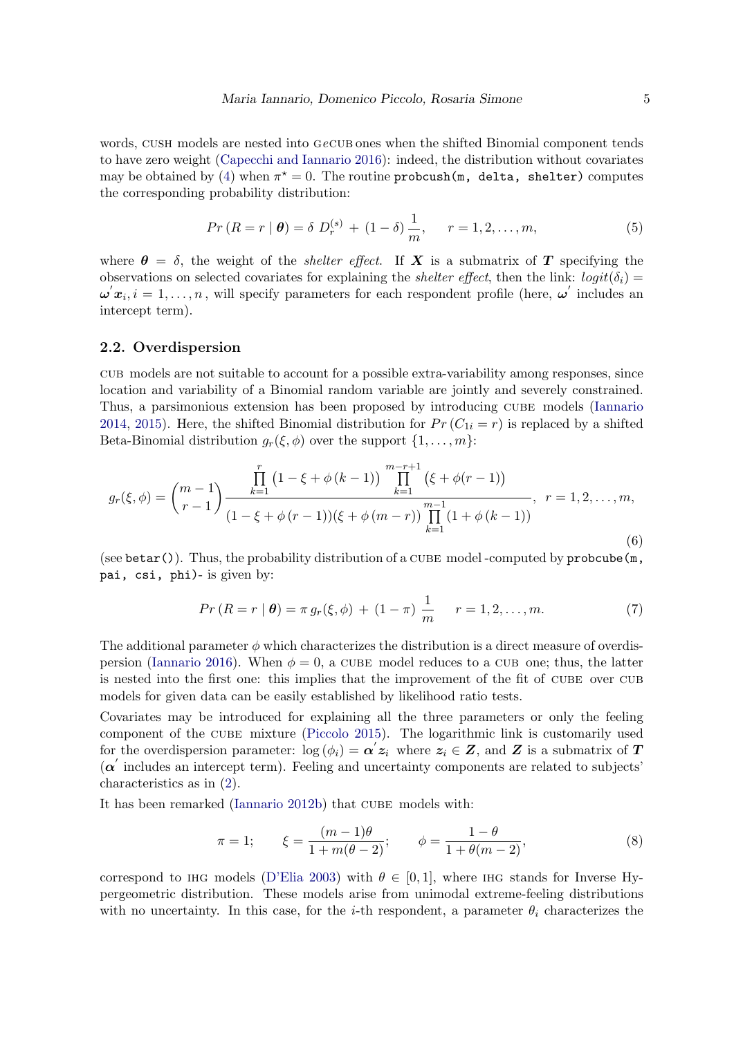words, CUSH models are nested into GeCUB ones when the shifted Binomial component tends to have zero weight [\(Capecchi and Iannario](#page-32-4) [2016\)](#page-32-4): indeed, the distribution without covariates may be obtained by [\(4\)](#page-3-1) when  $\pi^* = 0$ . The routine probcush (m, delta, shelter) computes the corresponding probability distribution:

$$
Pr(R = r | \boldsymbol{\theta}) = \delta D_r^{(s)} + (1 - \delta) \frac{1}{m}, \quad r = 1, 2, ..., m,
$$
 (5)

where  $\theta = \delta$ , the weight of the *shelter effect*. If **X** is a submatrix of **T** specifying the observations on selected covariates for explaining the *shelter effect*, then the link:  $logit(\delta_i)$  $\omega' x_i, i = 1, \ldots, n$ , will specify parameters for each respondent profile (here,  $\omega'$  includes an intercept term).

#### 2.2. Overdispersion

cub models are not suitable to account for a possible extra-variability among responses, since location and variability of a Binomial random variable are jointly and severely constrained. Thus, a parsimonious extension has been proposed by introducing cube models [\(Iannario](#page-34-7) [2014,](#page-34-7) [2015\)](#page-34-1). Here, the shifted Binomial distribution for  $Pr(C_{1i} = r)$  is replaced by a shifted Beta-Binomial distribution  $g_r(\xi, \phi)$  over the support  $\{1, \ldots, m\}$ :

$$
g_r(\xi,\phi) = {m-1 \choose r-1} \frac{\prod_{k=1}^r (1-\xi+\phi(k-1)) \prod_{k=1}^{m-r+1} (\xi+\phi(r-1))}{(1-\xi+\phi(r-1))(\xi+\phi(m-r)) \prod_{k=1}^{m-1} (1+\phi(k-1))}, \ r = 1,2,\ldots,m,
$$
\n(6)

(see betar()). Thus, the probability distribution of a cube model -computed by probcube(m, pai, csi, phi)- is given by:

$$
Pr(R = r | \boldsymbol{\theta}) = \pi g_r(\xi, \phi) + (1 - \pi) \frac{1}{m} \qquad r = 1, 2, ..., m. \tag{7}
$$

The additional parameter  $\phi$  which characterizes the distribution is a direct measure of overdis-persion [\(Iannario](#page-34-14) [2016\)](#page-34-14). When  $\phi = 0$ , a CUBE model reduces to a CUB one; thus, the latter is nested into the first one: this implies that the improvement of the fit of CUBE over CUB models for given data can be easily established by likelihood ratio tests.

Covariates may be introduced for explaining all the three parameters or only the feeling component of the cube mixture [\(Piccolo](#page-35-11) [2015\)](#page-35-11). The logarithmic link is customarily used for the overdispersion parameter:  $\log(\phi_i) = \alpha' z_i$  where  $z_i \in Z$ , and Z is a submatrix of T  $(\alpha'$  includes an intercept term). Feeling and uncertainty components are related to subjects' characteristics as in [\(2\)](#page-2-0).

It has been remarked [\(Iannario](#page-34-0) [2012b\)](#page-34-0) that CUBE models with:

$$
\pi = 1; \qquad \xi = \frac{(m-1)\theta}{1 + m(\theta - 2)}; \qquad \phi = \frac{1 - \theta}{1 + \theta(m - 2)}, \tag{8}
$$

correspond to IHG models [\(D'Elia](#page-33-13) [2003\)](#page-33-13) with  $\theta \in [0, 1]$ , where IHG stands for Inverse Hypergeometric distribution. These models arise from unimodal extreme-feeling distributions with no uncertainty. In this case, for the *i*-th respondent, a parameter  $\theta_i$  characterizes the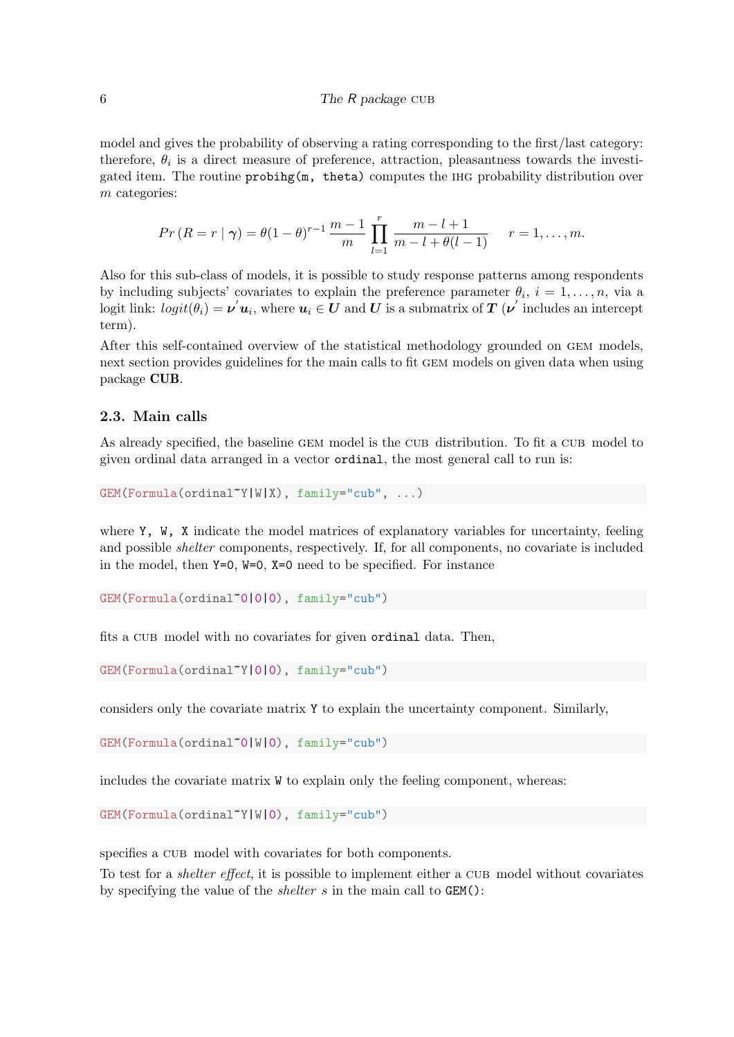model and gives the probability of observing a rating corresponding to the first/last category: therefore,  $\theta_i$  is a direct measure of preference, attraction, pleasantness towards the investigated item. The routine probihg(m, theta) computes the ihg probability distribution over m categories:

$$
Pr(R = r | \gamma) = \theta(1 - \theta)^{r-1} \frac{m-1}{m} \prod_{l=1}^{r} \frac{m-l+1}{m-l+\theta(l-1)} \qquad r = 1, ..., m.
$$

Also for this sub-class of models, it is possible to study response patterns among respondents by including subjects' covariates to explain the preference parameter  $\theta_i$ ,  $i = 1, \ldots, n$ , via a logit link:  $logit(\theta_i) = \nu^{'} \boldsymbol{u}_i$ , where  $\boldsymbol{u}_i \in \boldsymbol{U}$  and  $\boldsymbol{U}$  is a submatrix of  $\boldsymbol{T}$  ( $\nu^{'}$  includes an intercept term).

After this self-contained overview of the statistical methodology grounded on gem models, next section provides guidelines for the main calls to fit gem models on given data when using package CUB.

## 2.3. Main calls

As already specified, the baseline GEM model is the CUB distribution. To fit a CUB model to given ordinal data arranged in a vector ordinal, the most general call to run is:

GEM(Formula(ordinal~Y|W|X), family="cub", ...)

where Y, W, X indicate the model matrices of explanatory variables for uncertainty, feeling and possible shelter components, respectively. If, for all components, no covariate is included in the model, then Y=0, W=0, X=0 need to be specified. For instance

```
GEM(Formula(ordinal~0|0|0), family="cub")
```
fits a CUB model with no covariates for given ordinal data. Then,

```
GEM(Formula(ordinal~Y|0|0), family="cub")
```
considers only the covariate matrix Y to explain the uncertainty component. Similarly,

GEM(Formula(ordinal~0|W|0), family="cub")

includes the covariate matrix W to explain only the feeling component, whereas:

```
GEM(Formula(ordinal~Y|W|0), family="cub")
```
specifies a CUB model with covariates for both components.

To test for a *shelter effect*, it is possible to implement either a CUB model without covariates by specifying the value of the *shelter*  $s$  in the main call to  $GEM$ ):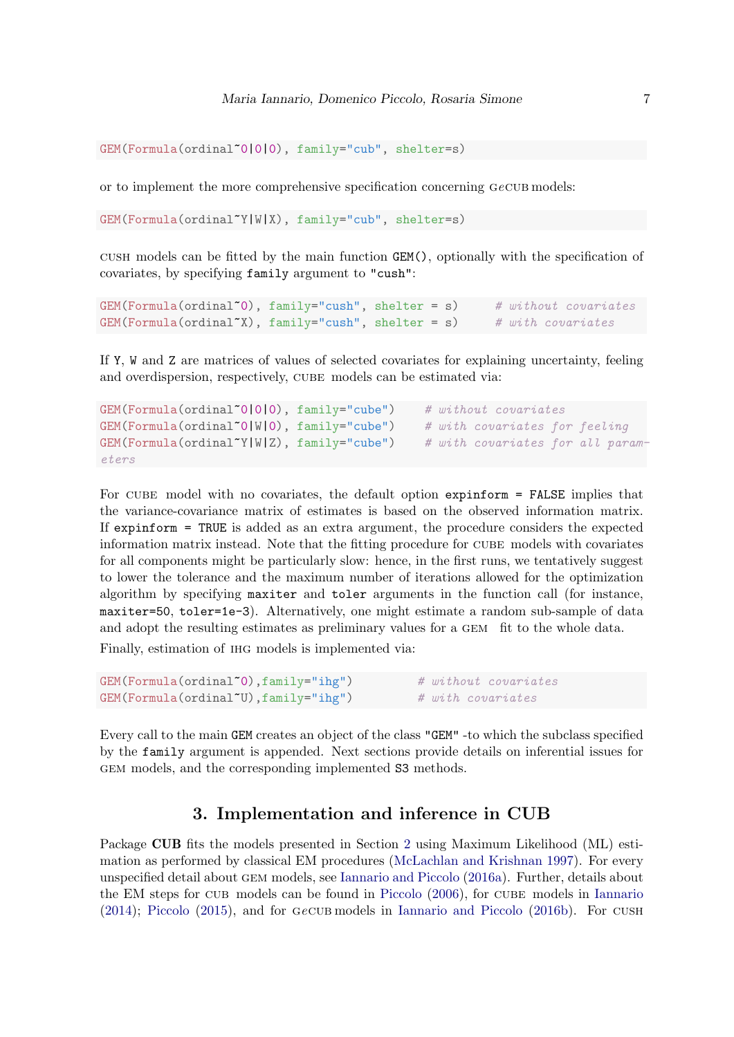```
GEM(Formula(ordinal~0|0|0), family="cub", shelter=s)
```
or to implement the more comprehensive specification concerning GeCUB models:

GEM(Formula(ordinal~Y|W|X), family="cub", shelter=s)

cush models can be fitted by the main function GEM(), optionally with the specification of covariates, by specifying family argument to "cush":

```
GEM(Formula(ordinal<sup>*</sup>0), family="cush", shelter = s) # without covariates
GEM(Formula(ordinal<sup>*</sup>X), family="cusk1"), shellter = s) # with covariates
```
If Y, W and Z are matrices of values of selected covariates for explaining uncertainty, feeling and overdispersion, respectively, CUBE models can be estimated via:

```
GEM(Formula(ordinal^0|0|0), family="cube") # without covariates
GEM(Formula(ordinal<sup>*</sup>0|W|0), family="cube") # with covariates for feeling
GEM(Formula(ordinal^{\sim}Y|W|Z), family="cube") # with covariates for all param-
eters
```
For CUBE model with no covariates, the default option expinform = FALSE implies that the variance-covariance matrix of estimates is based on the observed information matrix. If expinform = TRUE is added as an extra argument, the procedure considers the expected information matrix instead. Note that the fitting procedure for cube models with covariates for all components might be particularly slow: hence, in the first runs, we tentatively suggest to lower the tolerance and the maximum number of iterations allowed for the optimization algorithm by specifying maxiter and toler arguments in the function call (for instance, maxiter=50, toler=1e-3). Alternatively, one might estimate a random sub-sample of data and adopt the resulting estimates as preliminary values for a gem fit to the whole data.

Finally, estimation of ihg models is implemented via:

```
GEM(Formula(ordinal~0),family="ihg") # without covariates
GEM(Formula(ordinal<sup>*</sup>U), family="ing") # with covariates
```
Every call to the main GEM creates an object of the class "GEM" -to which the subclass specified by the family argument is appended. Next sections provide details on inferential issues for gem models, and the corresponding implemented S3 methods.

## 3. Implementation and inference in CUB

Package CUB fits the models presented in Section [2](#page-1-0) using Maximum Likelihood (ML) estimation as performed by classical EM procedures [\(McLachlan and Krishnan](#page-35-12) [1997\)](#page-35-12). For every unspecified detail about gem models, see [Iannario and Piccolo](#page-34-3) [\(2016a\)](#page-34-3). Further, details about the EM steps for CUB models can be found in [Piccolo](#page-35-13) [\(2006\)](#page-35-13), for CUBE models in [Iannario](#page-34-7) [\(2014\)](#page-34-7); [Piccolo](#page-35-11) [\(2015\)](#page-35-11), and for gecub models in [Iannario and Piccolo](#page-34-13) [\(2016b\)](#page-34-13). For cush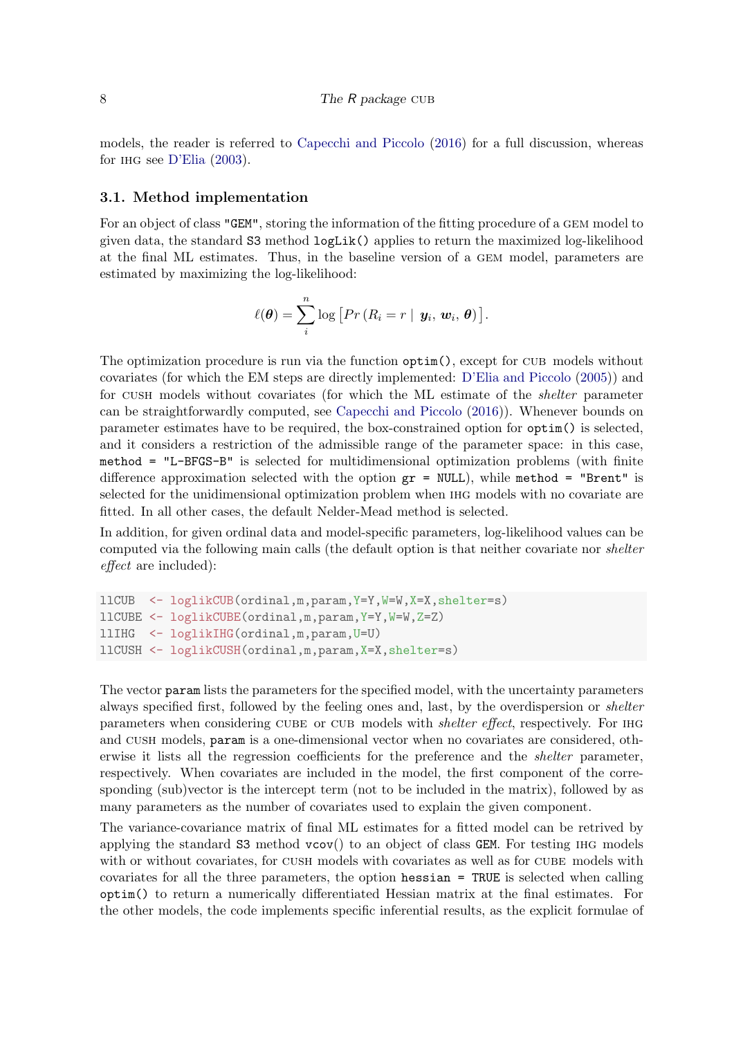models, the reader is referred to [Capecchi and Piccolo](#page-32-3) [\(2016\)](#page-32-3) for a full discussion, whereas for ihg see [D'Elia](#page-33-13) [\(2003\)](#page-33-13).

#### 3.1. Method implementation

For an object of class "GEM", storing the information of the fitting procedure of a gem model to given data, the standard S3 method logLik() applies to return the maximized log-likelihood at the final ML estimates. Thus, in the baseline version of a gem model, parameters are estimated by maximizing the log-likelihood:

$$
\ell(\boldsymbol{\theta}) = \sum_{i}^{n} \log \left[ Pr(R_{i} = r \mid \boldsymbol{y}_{i}, \boldsymbol{w}_{i}, \boldsymbol{\theta}) \right].
$$

The optimization procedure is run via the function  $\text{optim}()$ , except for CUB models without covariates (for which the EM steps are directly implemented: [D'Elia and Piccolo](#page-33-2) [\(2005\)](#page-33-2)) and for cush models without covariates (for which the ML estimate of the shelter parameter can be straightforwardly computed, see [Capecchi and Piccolo](#page-32-3) [\(2016\)](#page-32-3)). Whenever bounds on parameter estimates have to be required, the box-constrained option for optim() is selected, and it considers a restriction of the admissible range of the parameter space: in this case, method = "L-BFGS-B" is selected for multidimensional optimization problems (with finite difference approximation selected with the option  $gr = NULL$ , while method = "Brent" is selected for the unidimensional optimization problem when ihg models with no covariate are fitted. In all other cases, the default Nelder-Mead method is selected.

In addition, for given ordinal data and model-specific parameters, log-likelihood values can be computed via the following main calls (the default option is that neither covariate nor *shelter* effect are included):

```
llCUB <- loglikCUB(ordinal,m,param,Y=Y,W=W,X=X,shelter=s)
llCUBE <- loglikCUBE(ordinal,m,param,Y=Y,W=W,Z=Z)
llIHG <- loglikIHG(ordinal,m,param,U=U)
llCUSH <- loglikCUSH(ordinal,m,param,X=X,shelter=s)
```
The vector param lists the parameters for the specified model, with the uncertainty parameters always specified first, followed by the feeling ones and, last, by the overdispersion or shelter parameters when considering CUBE or CUB models with *shelter effect*, respectively. For IHG and cush models, param is a one-dimensional vector when no covariates are considered, otherwise it lists all the regression coefficients for the preference and the *shelter* parameter, respectively. When covariates are included in the model, the first component of the corresponding (sub)vector is the intercept term (not to be included in the matrix), followed by as many parameters as the number of covariates used to explain the given component.

The variance-covariance matrix of final ML estimates for a fitted model can be retrived by applying the standard S3 method vcov() to an object of class GEM. For testing ihg models with or without covariates, for CUSH models with covariates as well as for CUBE models with covariates for all the three parameters, the option hessian = TRUE is selected when calling optim() to return a numerically differentiated Hessian matrix at the final estimates. For the other models, the code implements specific inferential results, as the explicit formulae of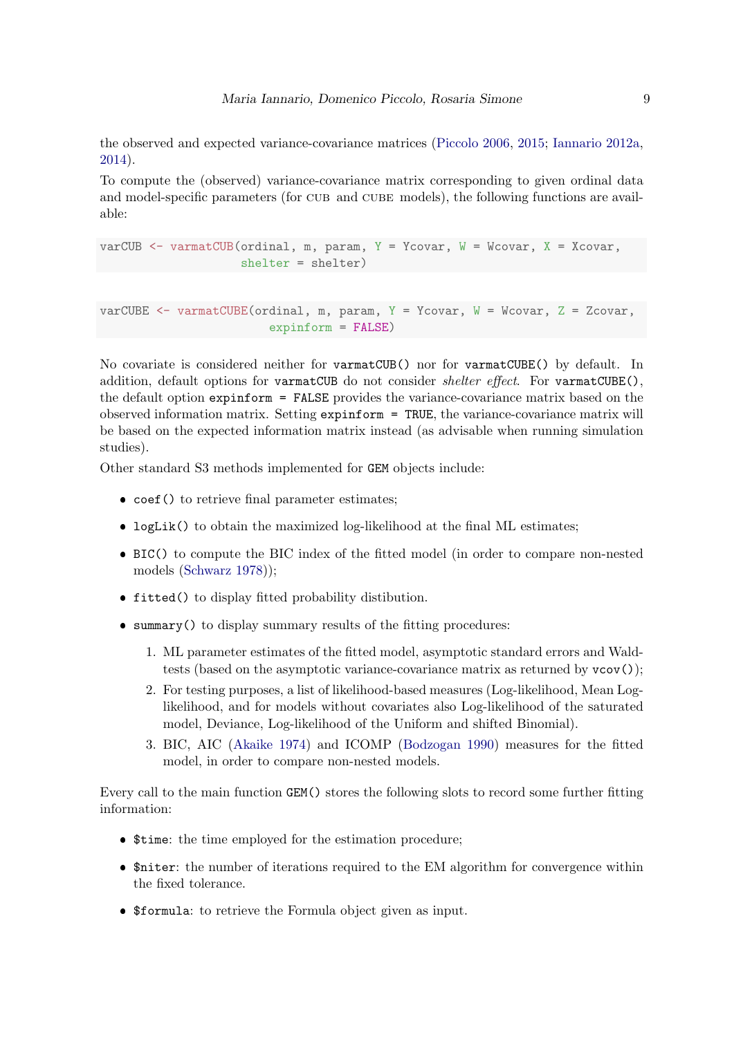the observed and expected variance-covariance matrices [\(Piccolo](#page-35-13) [2006,](#page-35-13) [2015;](#page-35-11) [Iannario](#page-33-3) [2012a,](#page-33-3) [2014\)](#page-34-7).

To compute the (observed) variance-covariance matrix corresponding to given ordinal data and model-specific parameters (for CUB and CUBE models), the following functions are available:

```
varCUB \leq varmatCUB(ordinal, m, param, Y = Ycovar, W = Wcovar, X = Xcovar,
                    shelter = shelter)
```

```
varCUBE <- varmatCUBE(ordinal, m, param, Y = Ycovar, W = Wcovar, Z = Zcovar,
                        expinform = FALSE)
```
No covariate is considered neither for varmatCUB() nor for varmatCUBE() by default. In addition, default options for varmatCUB do not consider *shelter effect*. For varmatCUBE $()$ , the default option expinform = FALSE provides the variance-covariance matrix based on the observed information matrix. Setting expinform = TRUE, the variance-covariance matrix will be based on the expected information matrix instead (as advisable when running simulation studies).

Other standard S3 methods implemented for GEM objects include:

- coef() to retrieve final parameter estimates;
- logLik() to obtain the maximized log-likelihood at the final ML estimates;
- BIC() to compute the BIC index of the fitted model (in order to compare non-nested models [\(Schwarz](#page-35-14) [1978\)](#page-35-14));
- fitted() to display fitted probability distibution.
- summary() to display summary results of the fitting procedures:
	- 1. ML parameter estimates of the fitted model, asymptotic standard errors and Waldtests (based on the asymptotic variance-covariance matrix as returned by vcov());
	- 2. For testing purposes, a list of likelihood-based measures (Log-likelihood, Mean Loglikelihood, and for models without covariates also Log-likelihood of the saturated model, Deviance, Log-likelihood of the Uniform and shifted Binomial).
	- 3. BIC, AIC [\(Akaike](#page-31-3) [1974\)](#page-31-3) and ICOMP [\(Bodzogan](#page-32-5) [1990\)](#page-32-5) measures for the fitted model, in order to compare non-nested models.

Every call to the main function GEM() stores the following slots to record some further fitting information:

- \$time: the time employed for the estimation procedure;
- \$niter: the number of iterations required to the EM algorithm for convergence within the fixed tolerance.
- \$formula: to retrieve the Formula object given as input.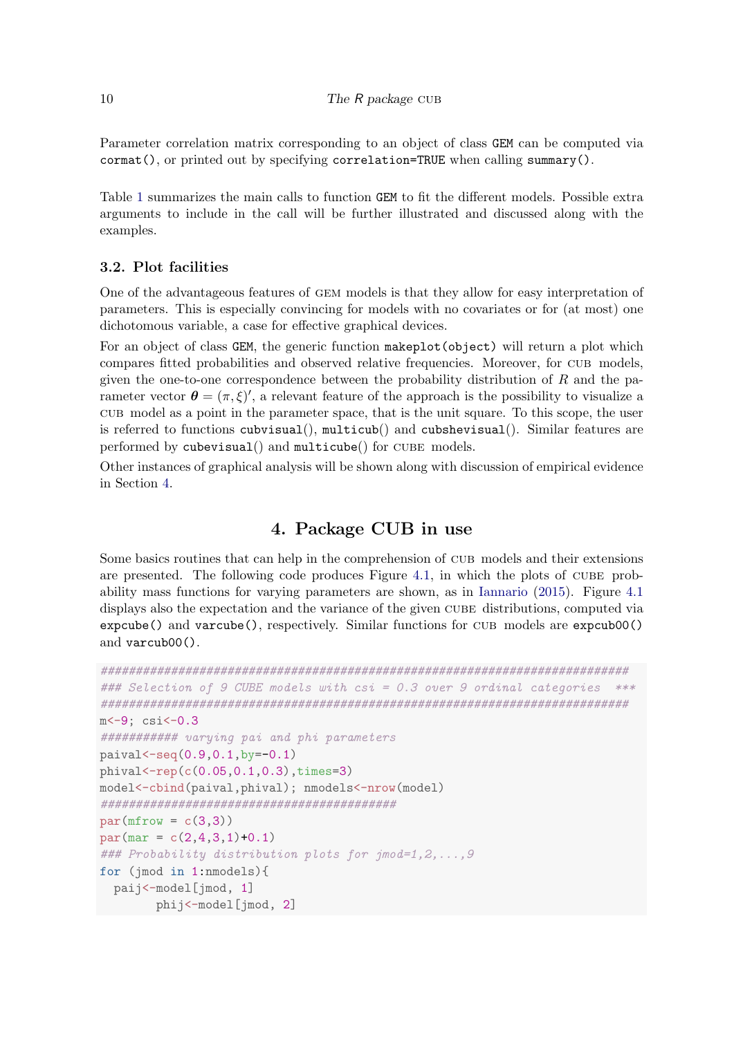Parameter correlation matrix corresponding to an object of class GEM can be computed via cormat(), or printed out by specifying correlation=TRUE when calling summary().

Table [1](#page-10-0) summarizes the main calls to function GEM to fit the different models. Possible extra arguments to include in the call will be further illustrated and discussed along with the examples.

## 3.2. Plot facilities

One of the advantageous features of gem models is that they allow for easy interpretation of parameters. This is especially convincing for models with no covariates or for (at most) one dichotomous variable, a case for effective graphical devices.

For an object of class GEM, the generic function makeplot(object) will return a plot which compares fitted probabilities and observed relative frequencies. Moreover, for cub models, given the one-to-one correspondence between the probability distribution of  $R$  and the parameter vector  $\boldsymbol{\theta} = (\pi, \xi)'$ , a relevant feature of the approach is the possibility to visualize a cub model as a point in the parameter space, that is the unit square. To this scope, the user is referred to functions cubvisual(), multicub() and cubshevisual(). Similar features are performed by cubevisual() and multicube() for CUBE models.

Other instances of graphical analysis will be shown along with discussion of empirical evidence in Section [4.](#page-9-0)

# 4. Package CUB in use

<span id="page-9-0"></span>Some basics routines that can help in the comprehension of cub models and their extensions are presented. The following code produces Figure [4.1,](#page-11-0) in which the plots of cube probability mass functions for varying parameters are shown, as in [Iannario](#page-34-1) [\(2015\)](#page-34-1). Figure [4.1](#page-11-0) displays also the expectation and the variance of the given CUBE distributions, computed via expcube() and varcube(), respectively. Similar functions for cub models are expcub00() and varcub00().

```
###########################################################################
### Selection of 9 CUBE models with csi = 0.3 over 9 ordinal categories ***
###########################################################################
m <- 9; csi <- 0.3
########### varying pai and phi parameters
paival \leftarrow seq(0.9, 0.1, by = -0.1)phival < -rep(c(0.05, 0.1, 0.3), times=3)model<-cbind(paival,phival); nmodels<-nrow(model)
##########################################
par(mfrow = c(3,3))par(max = c(2,4,3,1)+0.1)### Probability distribution plots for jmod=1,2,...,9
for (jmod in 1:nmodels){
  paij<-model[jmod, 1]
        phij<-model[jmod, 2]
```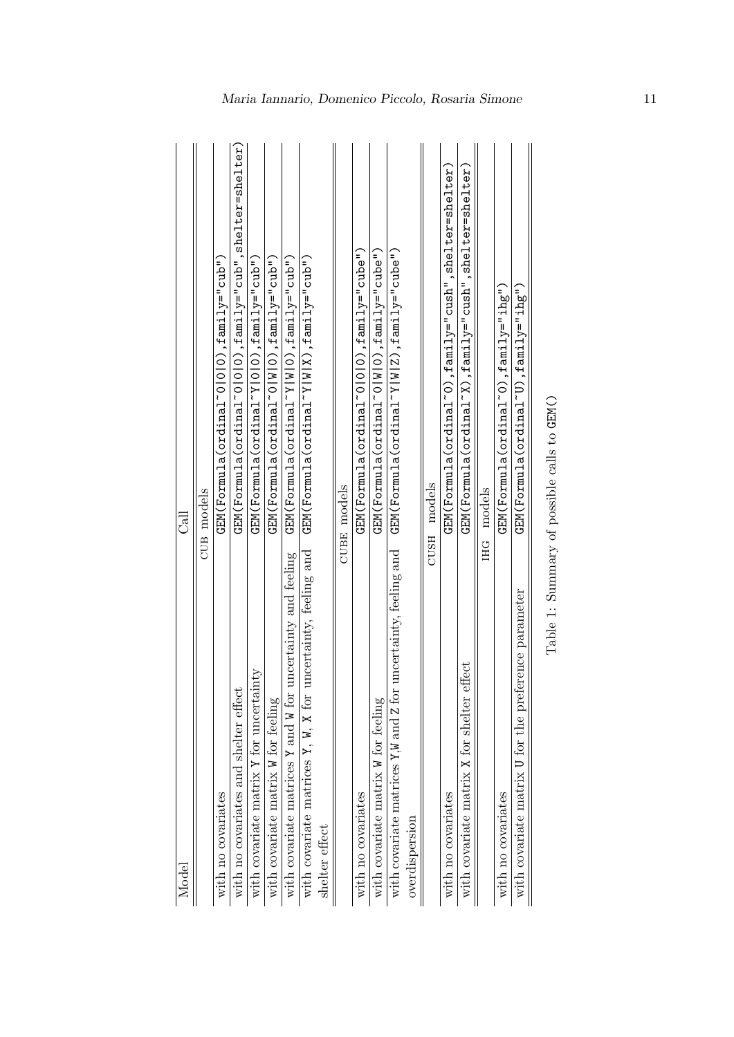<span id="page-10-0"></span>

| Model                                                                   | ತ                                                                            |
|-------------------------------------------------------------------------|------------------------------------------------------------------------------|
|                                                                         | <b>CUB</b> models                                                            |
| with no covariates                                                      | $\tt GEM(Formula (ordin a1^o0 0 0)$ , family="cub")                          |
| with no covariates and shelter effect                                   | $\tt GEM(Formula (ordina1^c0 0 0)$ , $\tt fani1y="cub"$ , shelter=shelter,   |
| inty<br>with covariate matrix Y for uncertain                           | $\tt GEM(Formula(ordinaYY 0 0), family="cub")$                               |
| with covariate matrix W for feeling                                     | $GEM(Formula (ordinal ~O W O)$ , $fami1y="'cub'')$                           |
| uncertainty and feeling<br>with covariate matrices Y and W for          | $GEM(Formula(ordina1"Y W 0), fami1y="'cul'')$                                |
| uncertainty, feeling and<br>with covariate matrices $Y$ , $W$ , $X$ for | $\tt GEM(Formula (ordinal "Y W X)$ , family="cub")                           |
| shelter effect                                                          |                                                                              |
|                                                                         | <b>CUBE</b> models                                                           |
| with no covariates                                                      | $\tt GEM(Formula (ordinal ~01010), fami1 y=" "cube")$                        |
| with covariate matrix W for feeling                                     | $\tt GEM(Formula (ordinal ~ 0 ~  W  0)$ , family="cube")                     |
| uncertainty, feeling and<br>with covariate matrices Y,W and Z for       | GEM(Formula(ordinal~Y W Z),family="cube")                                    |
| overdispersion                                                          |                                                                              |
| CUSH                                                                    | models                                                                       |
| with no covariates                                                      | $\tt GEN(Formula (ordina1^0), fami1y="ralsn"cush", she1ter=she1ter)$         |
| with covariate matrix X for shelter effect                              | $\tt GEN(Formula (ordina1^{\sim}X)$ , $\tt fani1y=$ "cush", shelter=shelter) |
|                                                                         | <b>IHG</b> models                                                            |
| with no covariates                                                      | $\tt{GEN(Formula (ordinal^c0), fami1y="ihg'').}$                             |
| with covariate matrix U for the preference parameter                    | GEM(Formula(ordinaT'U), fami1ye"ihg"                                         |
|                                                                         |                                                                              |

| ١                     |
|-----------------------|
| l<br>I                |
| $\frac{1}{2}$         |
| ı<br>$-150001$<br>I   |
| ¢                     |
| こうきょう こうきょう<br>۵<br>j |
| ł                     |
| l<br>Ï<br>I           |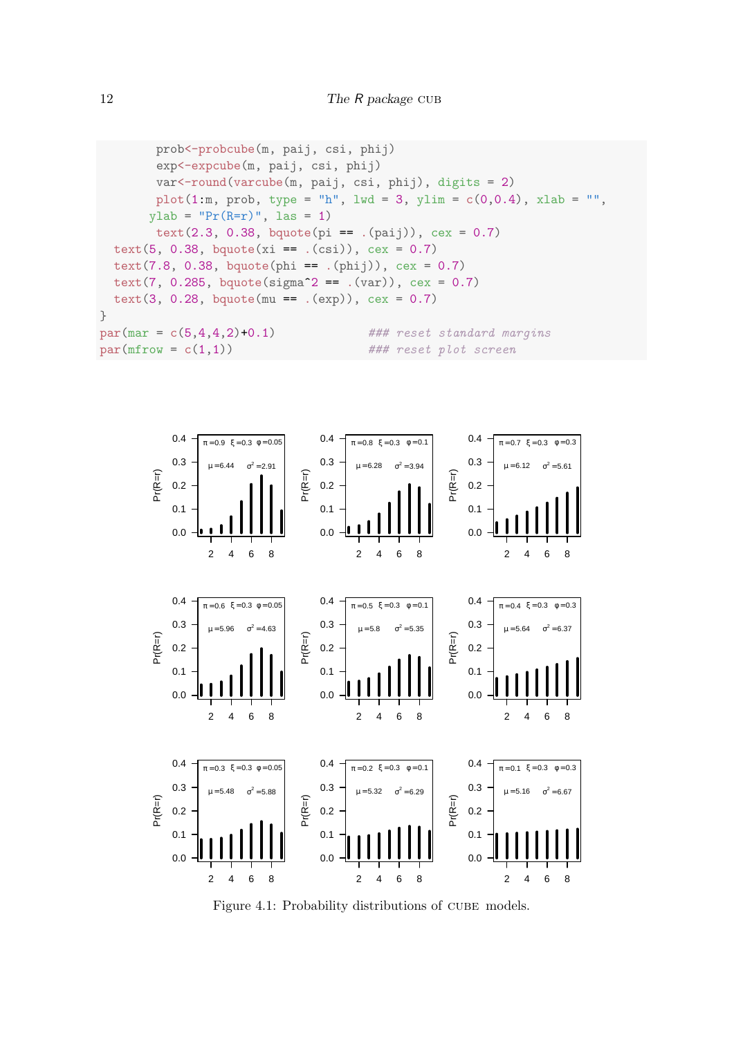```
prob<-probcube(m, paij, csi, phij)
       exp<-expcube(m, paij, csi, phij)
       var<-round(varcube(m, paij, csi, phij), digits = 2)
       plot(1:m, prob, type = "h", lwd = 3, ylim = c(0,0.4), xlab = "",
      ylab = "Pr(R=r)", las = 1)
       text(2.3, 0.38, bquote(pi == .(pai)), cex = 0.7)text(5, 0.38, bquote(xi == .(csi)), cex = 0.7)
  text(7.8, 0.38, bquote(phi == .(phij)), cex = 0.7)
  text(7, 0.285, bquote(sigma^2 == .(var)), cex = 0.7)
  text(3, 0.28, bquote(mu == .(exp)), cex = 0.7)
}
par(max = c(5,4,4,2)+0.1) ### reset standard margins
par(mfrow = c(1,1)) ### reset plot screen
```
<span id="page-11-0"></span>

Figure 4.1: Probability distributions of CUBE models.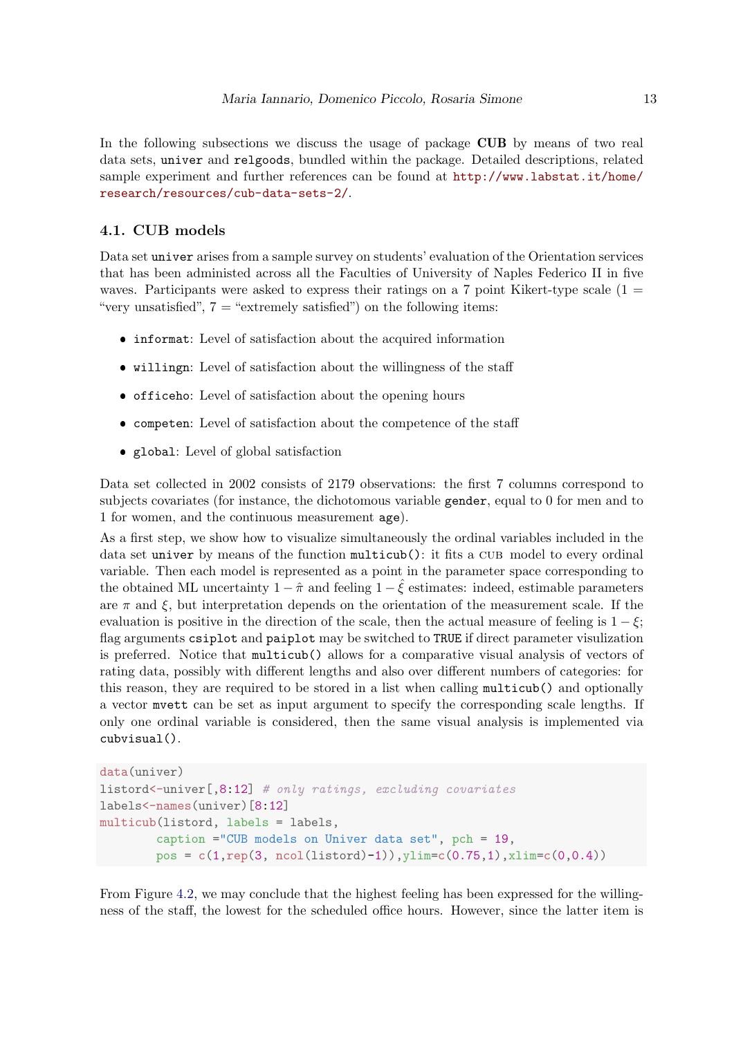In the following subsections we discuss the usage of package CUB by means of two real data sets, univer and relgoods, bundled within the package. Detailed descriptions, related sample experiment and further references can be found at [http://www.labstat.it/home/](http://www.labstat.it/home/research/resources/cub-data-sets-2/) [research/resources/cub-data-sets-2/](http://www.labstat.it/home/research/resources/cub-data-sets-2/).

#### 4.1. CUB models

Data set univer arises from a sample survey on students' evaluation of the Orientation services that has been administed across all the Faculties of University of Naples Federico II in five waves. Participants were asked to express their ratings on a 7 point Kikert-type scale  $(1 =$ "very unsatisfied",  $7 =$  "extremely satisfied") on the following items:

- informat: Level of satisfaction about the acquired information
- willingn: Level of satisfaction about the willingness of the staff
- officeho: Level of satisfaction about the opening hours
- competen: Level of satisfaction about the competence of the staff
- global: Level of global satisfaction

Data set collected in 2002 consists of 2179 observations: the first 7 columns correspond to subjects covariates (for instance, the dichotomous variable gender, equal to 0 for men and to 1 for women, and the continuous measurement age).

As a first step, we show how to visualize simultaneously the ordinal variables included in the data set univer by means of the function multicub(): it fits a CUB model to every ordinal variable. Then each model is represented as a point in the parameter space corresponding to the obtained ML uncertainty  $1 - \hat{\pi}$  and feeling  $1 - \hat{\xi}$  estimates: indeed, estimable parameters are  $\pi$  and  $\xi$ , but interpretation depends on the orientation of the measurement scale. If the evaluation is positive in the direction of the scale, then the actual measure of feeling is  $1 - \xi$ ; flag arguments csiplot and paiplot may be switched to TRUE if direct parameter visulization is preferred. Notice that multicub() allows for a comparative visual analysis of vectors of rating data, possibly with different lengths and also over different numbers of categories: for this reason, they are required to be stored in a list when calling multicub() and optionally a vector mvett can be set as input argument to specify the corresponding scale lengths. If only one ordinal variable is considered, then the same visual analysis is implemented via cubvisual().

```
data(univer)
listord<-univer[,8:12] # only ratings, excluding covariates
labels<-names(univer)[8:12]
multicub(listord, labels = labels,
        caption ="CUB models on Univer data set", pch = 19,
        pos = c(1, rep(3, ncol(listord)-1)),ylim=c(0.75,1),xlim=c(0,0.4))
```
From Figure [4.2,](#page-13-0) we may conclude that the highest feeling has been expressed for the willingness of the staff, the lowest for the scheduled office hours. However, since the latter item is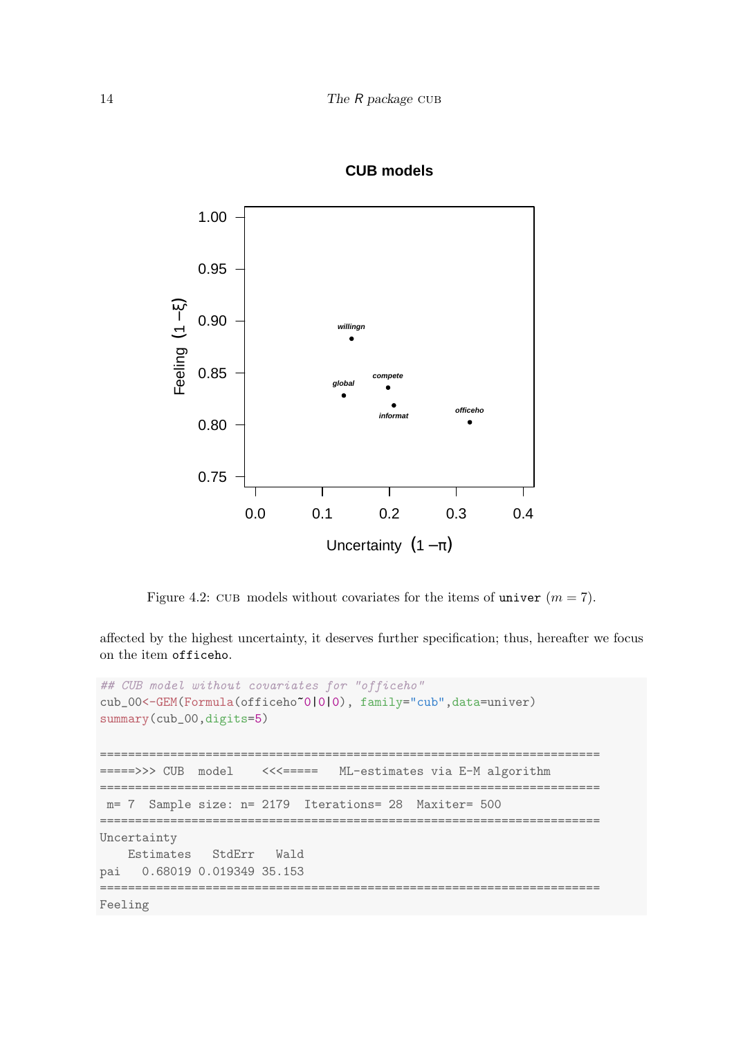<span id="page-13-0"></span>

## **CUB models**

Figure 4.2: CUB models without covariates for the items of univer  $(m = 7)$ .

affected by the highest uncertainty, it deserves further specification; thus, hereafter we focus on the item officeho.

```
## CUB model without covariates for "officeho"
cub_00<-GEM(Formula(officeho~0|0|0), family="cub",data=univer)
summary(cub_00,digits=5)
=======================================================================
  =====>>> CUB model <<<===== ML-estimates via E-M algorithm
  =======================================================================
m= 7 Sample size: n= 2179 Iterations= 28 Maxiter= 500
=======================================================================
Uncertainty
   Estimates StdErr Wald
pai 0.68019 0.019349 35.153
=======================================================================
```
Feeling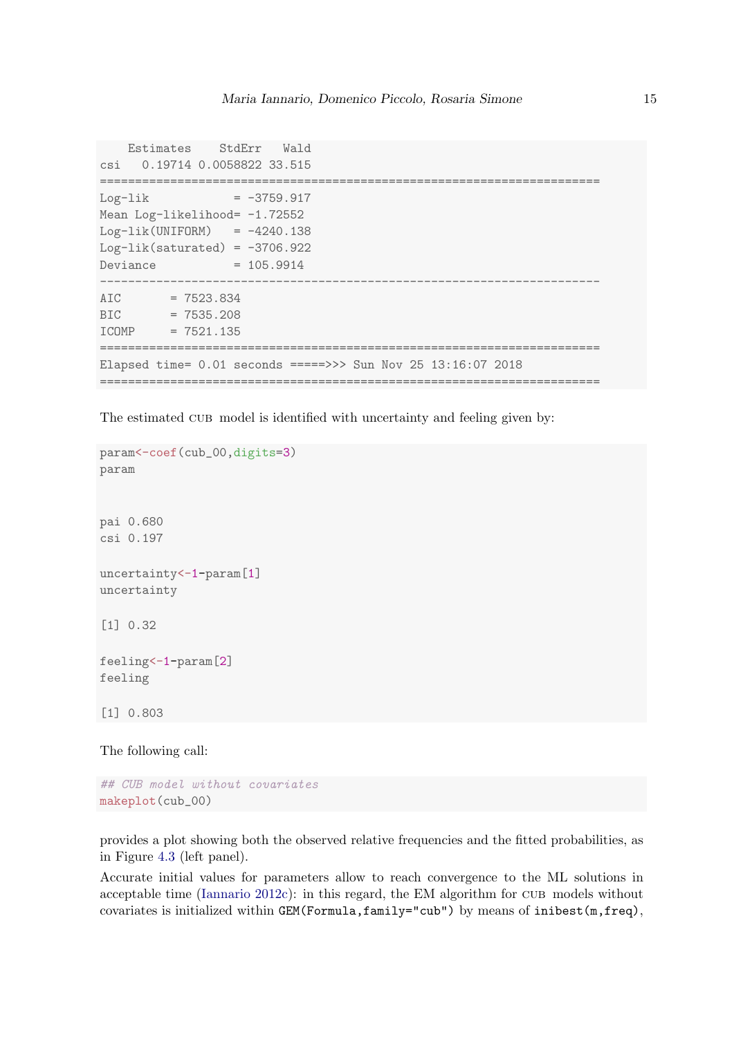```
Estimates StdErr Wald
csi 0.19714 0.0058822 33.515
=======================================================================
Log-1ik = -3759.917Mean Log-likelihood= -1.72552
Log-lik(UNIFORM) = -4240.138Log-lik(saturated) = -3706.922Deviance = 105.9914
-----------------------------------------------------------------------
AIC = 7523.834BIC = 7535.208ICOMP = 7521.135
=======================================================================
Elapsed time= 0.01 seconds =====>>> Sun Nov 25 13:16:07 2018
=======================================================================
```
The estimated CUB model is identified with uncertainty and feeling given by:

```
param<-coef(cub_00,digits=3)
param
pai 0.680
csi 0.197
uncertainty<-1-param[1]
uncertainty
[1] 0.32
feeling<-1-param[2]
feeling
[1] 0.803
```
The following call:

```
## CUB model without covariates
makeplot(cub_00)
```
provides a plot showing both the observed relative frequencies and the fitted probabilities, as in Figure [4.3](#page-17-0) (left panel).

Accurate initial values for parameters allow to reach convergence to the ML solutions in acceptable time [\(Iannario](#page-34-5)  $2012c$ ): in this regard, the EM algorithm for CUB models without covariates is initialized within GEM(Formula,family="cub") by means of inibest(m,freq),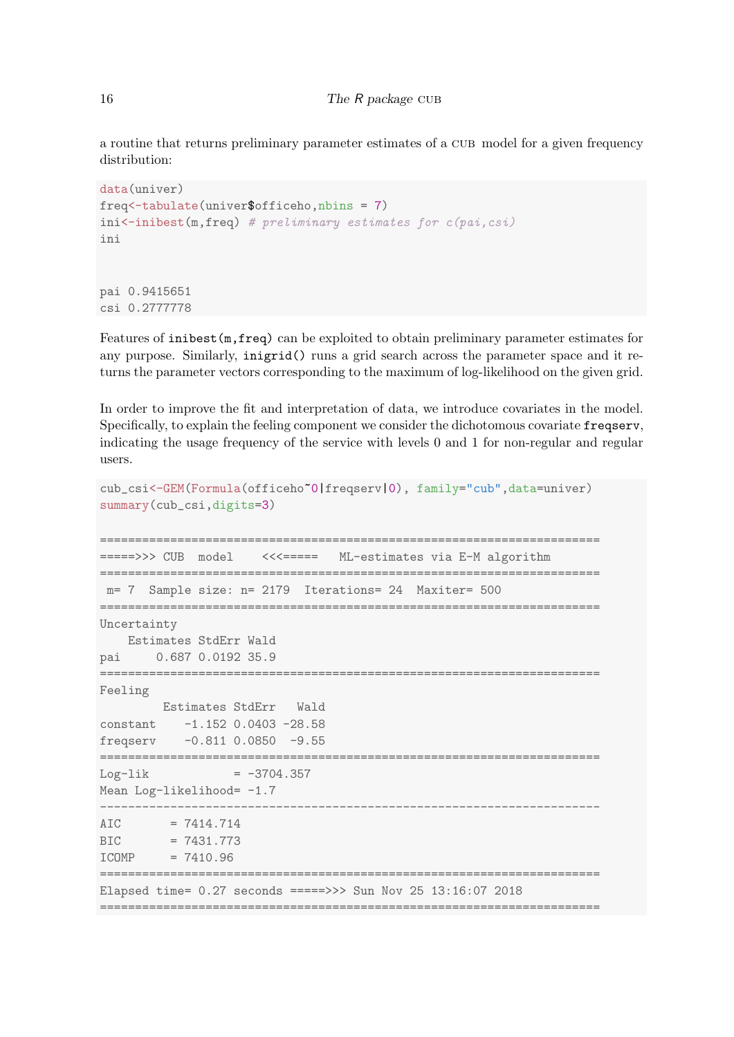a routine that returns preliminary parameter estimates of a cub model for a given frequency distribution:

```
data(univer)
freq<-tabulate(univer$officeho,nbins = 7)
\text{ini}\leftarrow\text{inibest}(\text{m}, \text{freq}) # preliminary estimates for c(\text{pai}, \text{csi})ini
pai 0.9415651
csi 0.2777778
```
Features of inibest(m,freq) can be exploited to obtain preliminary parameter estimates for any purpose. Similarly, inigrid() runs a grid search across the parameter space and it returns the parameter vectors corresponding to the maximum of log-likelihood on the given grid.

In order to improve the fit and interpretation of data, we introduce covariates in the model. Specifically, to explain the feeling component we consider the dichotomous covariate freqserv, indicating the usage frequency of the service with levels 0 and 1 for non-regular and regular users.

```
cub_csi<-GEM(Formula(officeho~0|freqserv|0), family="cub",data=univer)
summary(cub_csi,digits=3)
=======================================================================
=====>>> CUB model <<<===== ML-estimates via E-M algorithm
=======================================================================
m= 7 Sample size: n= 2179 Iterations= 24 Maxiter= 500
=======================================================================
Uncertainty
   Estimates StdErr Wald
pai 0.687 0.0192 35.9
=======================================================================
Feeling
       Estimates StdErr Wald
constant -1.152 0.0403 -28.58
freqserv -0.811 0.0850 -9.55
=======================================================================
Log-1ik = -3704.357Mean Log-likelihood= -1.7-----------------------------------------------------------------------
AIC = 7414.714BIC = 7431.773ICOMP = 7410.96
=======================================================================
Elapsed time= 0.27 seconds =====>>> Sun Nov 25 13:16:07 2018
=======================================================================
```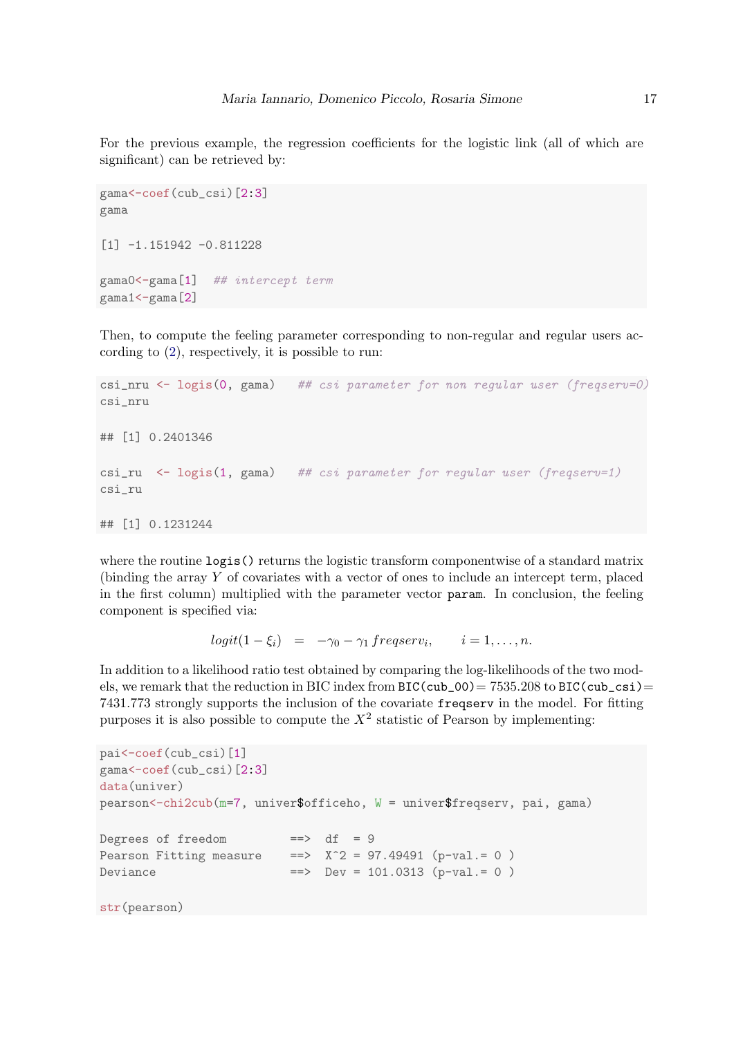For the previous example, the regression coefficients for the logistic link (all of which are significant) can be retrieved by:

```
gama<-coef(cub_csi)[2:3]
gama
[1] -1.151942 -0.811228gama0<-gama[1] ## intercept term
gama1<-gama[2]
```
Then, to compute the feeling parameter corresponding to non-regular and regular users according to [\(2\)](#page-2-0), respectively, it is possible to run:

```
csi_nru \leq logis(0, gama) ## csi parameter for non regular user (freqserv=0)
csi_nru
## [1] 0.2401346
csi_ru \le logis(1, gama) ## csi parameter for regular user (freqserv=1)
csi_ru
## [1] 0.1231244
```
where the routine logis() returns the logistic transform componentwise of a standard matrix (binding the array Y of covariates with a vector of ones to include an intercept term, placed in the first column) multiplied with the parameter vector param. In conclusion, the feeling component is specified via:

 $logit(1-\xi_i) = -\gamma_0 - \gamma_1 \, frequency_i, \qquad i=1,\ldots,n.$ 

In addition to a likelihood ratio test obtained by comparing the log-likelihoods of the two models, we remark that the reduction in BIC index from  $BIC(cub_00) = 7535.208$  to  $BIC(cub_csi)$ 7431.773 strongly supports the inclusion of the covariate freqserv in the model. For fitting purposes it is also possible to compute the  $X^2$  statistic of Pearson by implementing:

```
pai<-coef(cub_csi)[1]
gama<-coef(cub_csi)[2:3]
data(univer)
pearson<-chi2cub(m=7, univer$officeho, W = univer$freqserv, pai, gama)
Degrees of freedom ==> df = 9
Pearson Fitting measure ==> X^2 = 97.49491 (p-val.= 0)
Deviance = = \geq Dev = 101.0313 (p-value 0)str(pearson)
```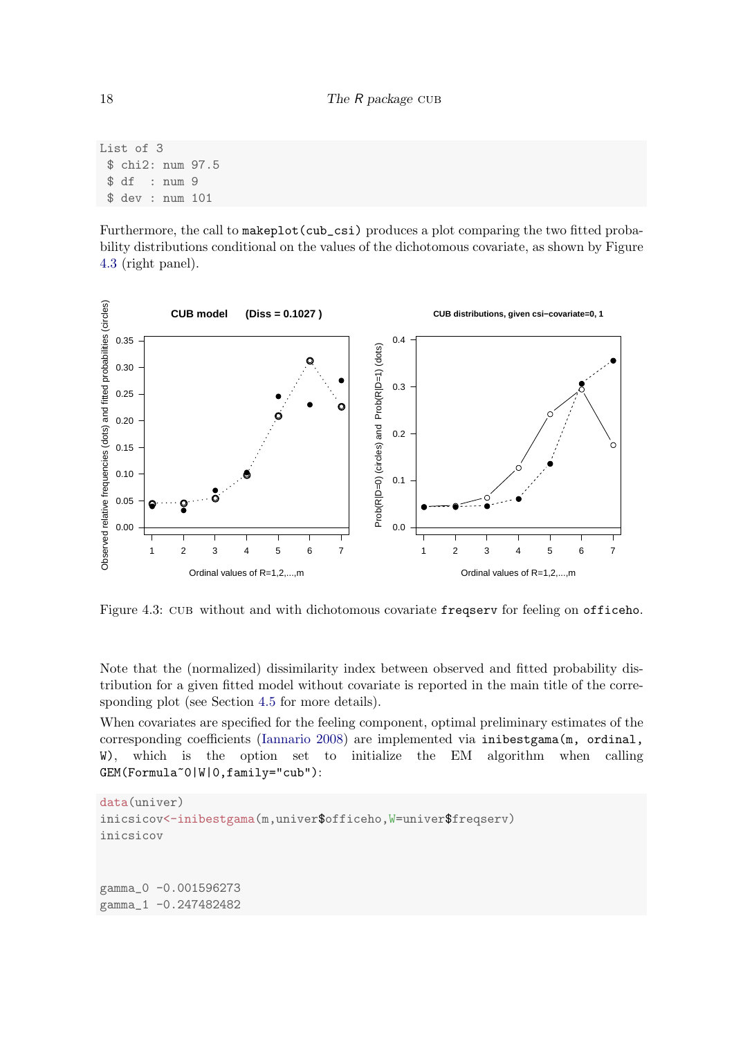List of 3 \$ chi2: num 97.5 \$ df : num 9 \$ dev : num 101

Furthermore, the call to makeplot (cub\_csi) produces a plot comparing the two fitted probability distributions conditional on the values of the dichotomous covariate, as shown by Figure [4.3](#page-17-0) (right panel).

<span id="page-17-0"></span>

Figure 4.3: cub without and with dichotomous covariate freqserv for feeling on officeho.

Note that the (normalized) dissimilarity index between observed and fitted probability distribution for a given fitted model without covariate is reported in the main title of the corresponding plot (see Section [4.5](#page-27-0) for more details).

When covariates are specified for the feeling component, optimal preliminary estimates of the corresponding coefficients [\(Iannario](#page-33-14) [2008\)](#page-33-14) are implemented via inibestgama(m, ordinal, W), which is the option set to initialize the EM algorithm when calling GEM(Formula~0|W|0,family="cub"):

```
data(univer)
inicsicov<-inibestgama(m,univer$officeho,W=univer$freqserv)
inicsicov
gamma_0 -0.001596273
gamma_1 -0.247482482
```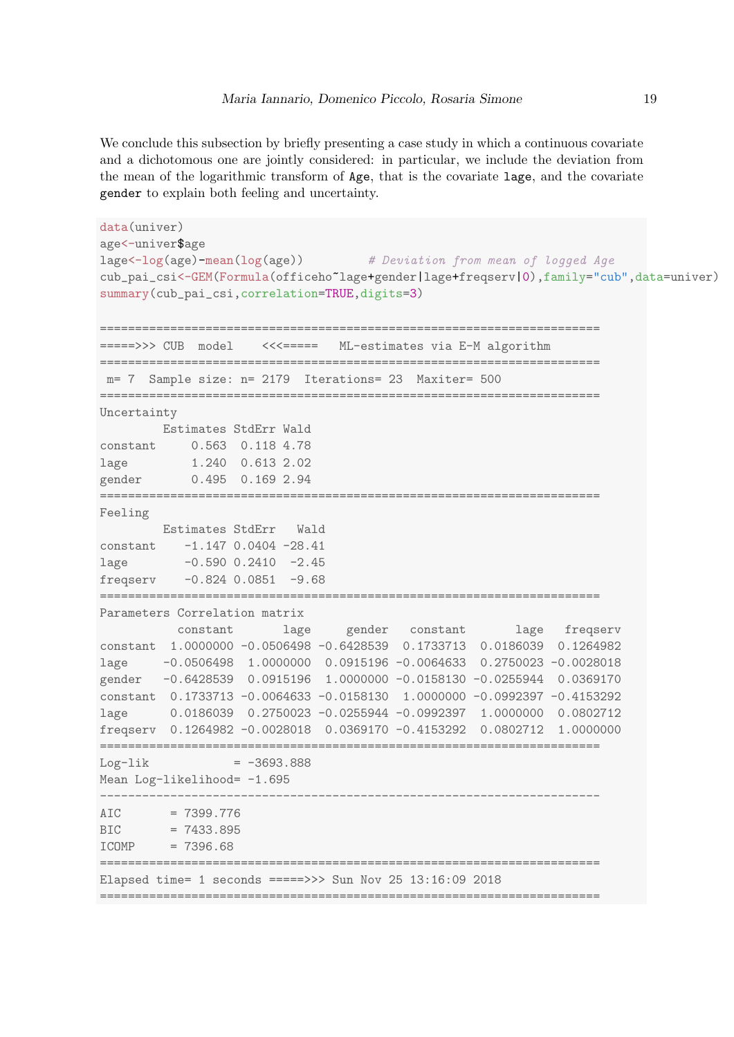We conclude this subsection by briefly presenting a case study in which a continuous covariate and a dichotomous one are jointly considered: in particular, we include the deviation from the mean of the logarithmic transform of Age, that is the covariate lage, and the covariate gender to explain both feeling and uncertainty.

```
data(univer)
age<-univer$age
lage<-log(age)-mean(log(age)) # Deviation from mean of logged Age
cub_pai_csi<-GEM(Formula(officeho~lage+gender|lage+freqserv|0),family="cub",data=univer)
summary(cub_pai_csi,correlation=TRUE,digits=3)
=======================================================================
=====>>> CUB model <<<===== ML-estimates via E-M algorithm
=======================================================================
m= 7 Sample size: n= 2179 Iterations= 23 Maxiter= 500
=======================================================================
Uncertainty
    Estimates StdErr Wald
constant 0.563 0.118 4.78
lage 1.240 0.613 2.02
gender 0.495 0.169 2.94
=======================================================================
Feeling
 Estimates StdErr Wald
constant -1.147 0.0404 -28.41
lage -0.590 0.2410 -2.45
freqserv -0.824 0.0851 -9.68
=======================================================================
Parameters Correlation matrix
         constant lage gender constant lage freqserv
constant 1.0000000 -0.0506498 -0.6428539 0.1733713 0.0186039 0.1264982
lage -0.0506498 1.0000000 0.0915196 -0.0064633 0.2750023 -0.0028018
gender -0.6428539 0.0915196 1.0000000 -0.0158130 -0.0255944 0.0369170
constant 0.1733713 -0.0064633 -0.0158130 1.0000000 -0.0992397 -0.4153292
lage 0.0186039 0.2750023 -0.0255944 -0.0992397 1.0000000 0.0802712
freqserv 0.1264982 -0.0028018 0.0369170 -0.4153292 0.0802712 1.0000000
=======================================================================
Log-1ik = -3693.888Mean Log-likelihood= -1.695
-----------------------------------------------------------------------
AIC = 7399.776BIC = 7433.895ICOMP = 7396.68
    =======================================================================
Elapsed time= 1 seconds =====>>> Sun Nov 25 13:16:09 2018
=======================================================================
```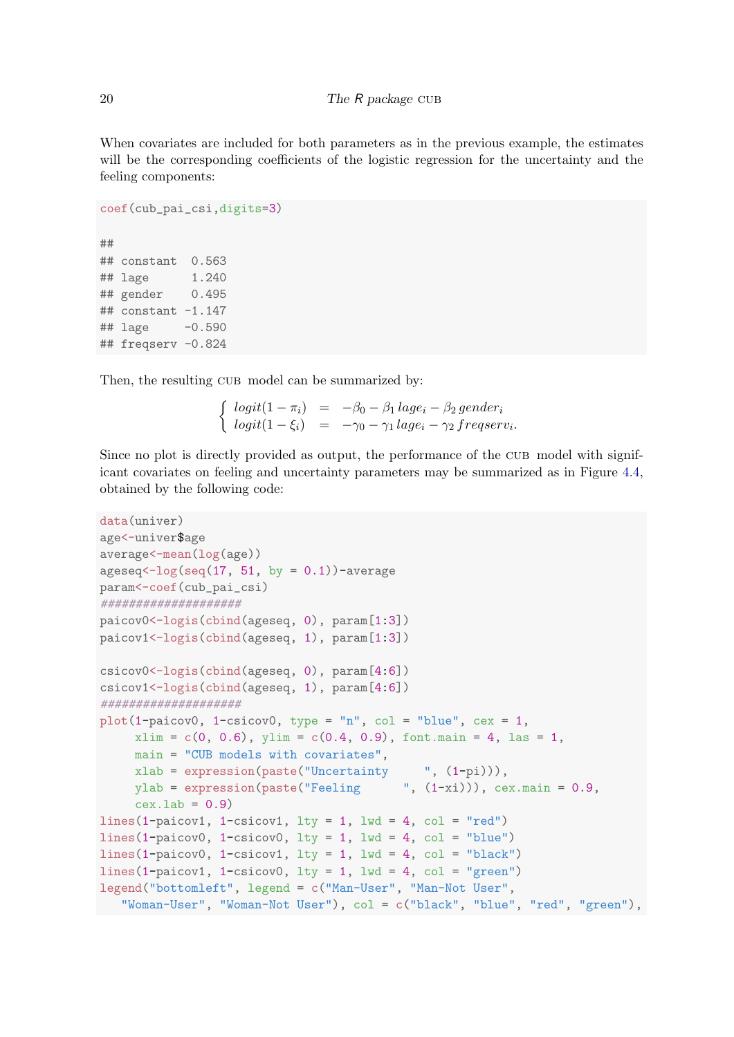When covariates are included for both parameters as in the previous example, the estimates will be the corresponding coefficients of the logistic regression for the uncertainty and the feeling components:

```
coef(cub_pai_csi,digits=3)
##
## constant 0.563
## lage 1.240
## gender 0.495
## constant -1.147
## lage -0.590
## freqserv -0.824
```
Then, the resulting CUB model can be summarized by:

 $\int logit(1 - \pi_i) = -\beta_0 - \beta_1 lage_i - \beta_2 gender_i$  $logit(1-\xi_i) = -\gamma_0 - \gamma_1 \, lage_i - \gamma_2 \, frequency_i.$ 

Since no plot is directly provided as output, the performance of the CUB model with significant covariates on feeling and uncertainty parameters may be summarized as in Figure [4.4,](#page-20-0) obtained by the following code:

```
data(univer)
age<-univer$age
average<-mean(log(age))
ageseq<-log(seq(17, 51, by = 0.1))-average
param<-coef(cub_pai_csi)
####################
paicov0<-logis(cbind(ageseq, 0), param[1:3])
paicov1<-logis(cbind(ageseq, 1), param[1:3])
csicov0<-logis(cbind(ageseq, 0), param[4:6])
csicov1<-logis(cbind(ageseq, 1), param[4:6])
####################
plot(1-paicov0, 1-csicov0, type = "n", col = "blue", cex = 1,xlim = c(0, 0.6), ylim = c(0.4, 0.9), font main = 4, las = 1,main = "CUB models with covariates",
     xlab = expression(paste("Uncertainty \t", (1-pi))),ylab = expression(paste("Feeling (1-xi)), cex.main = 0.9,
     cex.1ab = 0.9lines(1-paicov1, 1-csicov1, lty = 1, lwd = 4, col = "red")
lines(1-paicov0, 1-csicov0, lty = 1, lwd = 4, col = "blue")
lines(1-paicov0, 1-csicov1, lty = 1, lwd = 4, col = "black")lines(1-paicov1, 1-csicov0, lty = 1, lwd = 4, col = "green")
legend("bottomleft", legend = c("Man-User", "Man-Not User",
   "Woman-User", "Woman-Not User"), col = c("black", "blue", "red", "green"),
```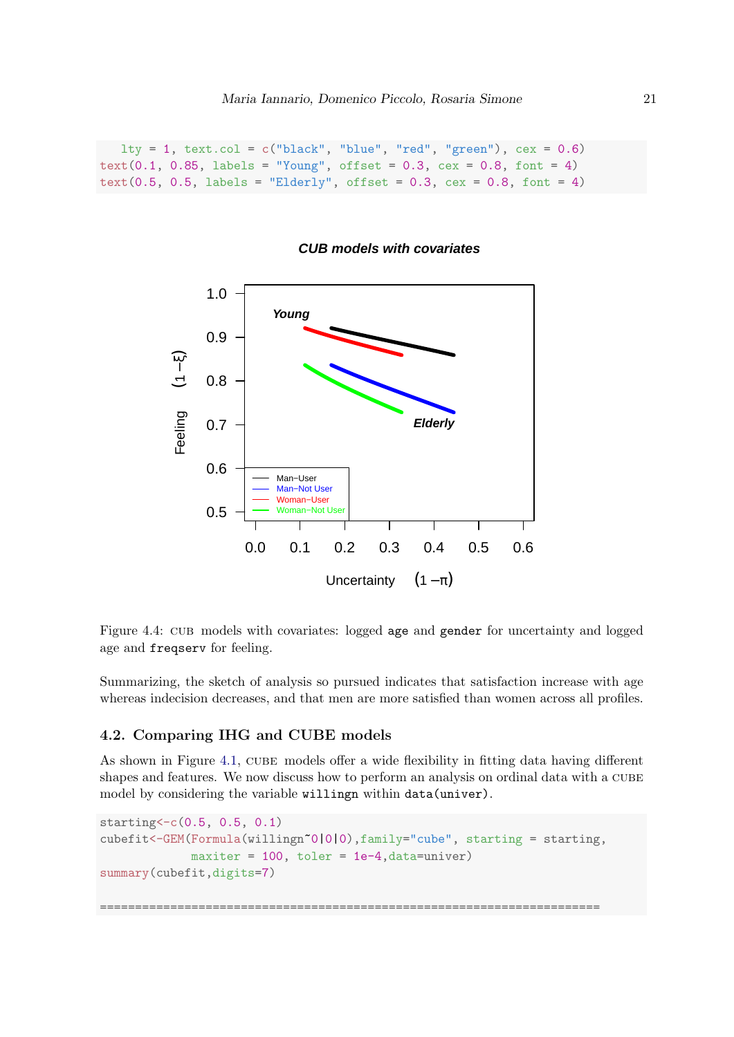```
lty = 1, text.col = c("black", "blue", "red", "green"), cex = 0.6)text(0.1, 0.85, labels = "Young", offset = 0.3, cex = 0.8, font = 4)text(0.5, 0.5, labels = "Elderly", offset = 0.3, cex = 0.8, font = 4)
```


#### **CUB models with covariates**

Figure 4.4: cub models with covariates: logged age and gender for uncertainty and logged age and freqserv for feeling.

Summarizing, the sketch of analysis so pursued indicates that satisfaction increase with age whereas indecision decreases, and that men are more satisfied than women across all profiles.

## 4.2. Comparing IHG and CUBE models

As shown in Figure [4.1,](#page-11-0) CUBE models offer a wide flexibility in fitting data having different shapes and features. We now discuss how to perform an analysis on ordinal data with a cube model by considering the variable willingn within data(univer).

```
starting<-c(0.5, 0.5, 0.1)
cubefit<-GEM(Formula(willingn~0|0|0),family="cube", starting = starting,
             maxiter = 100, toler = 1e-4, data=univer)
summary(cubefit,digits=7)
```
=======================================================================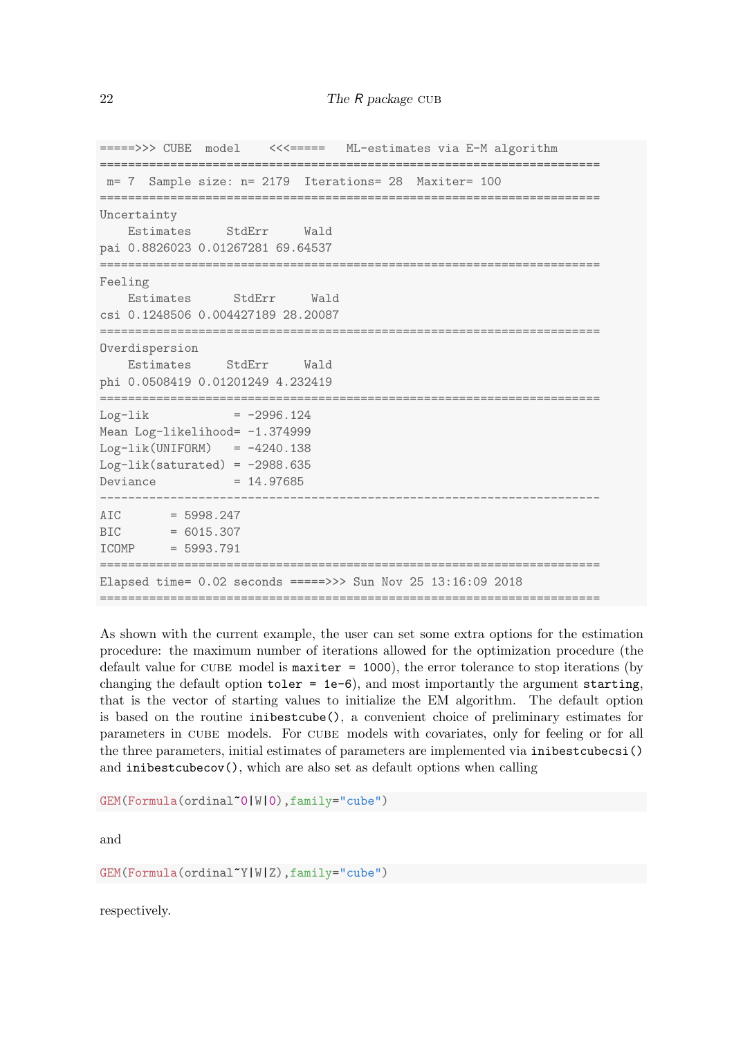=====>>> CUBE model <<<===== ML-estimates via E-M algorithm ======================================================================= m= 7 Sample size: n= 2179 Iterations= 28 Maxiter= 100 ======================================================================= Uncertainty Estimates StdErr Wald pai 0.8826023 0.01267281 69.64537 ======================================================================= Feeling Estimates StdErr Wald csi 0.1248506 0.004427189 28.20087 ======================================================================= Overdispersion Estimates StdErr Wald phi 0.0508419 0.01201249 4.232419 =======================================================================  $Log-1ik$  =  $-2996.124$ Mean Log-likelihood= -1.374999  $Log-lik(UNIFORM) = -4240.138$ Log-lik(saturated) =  $-2988.635$  $Deviance = 14.97685$ -----------------------------------------------------------------------  $AIC = 5998.247$  $BIC = 6015.307$ ICOMP = 5993.791 ======================================================================= Elapsed time= 0.02 seconds =====>>> Sun Nov 25 13:16:09 2018 =======================================================================

As shown with the current example, the user can set some extra options for the estimation procedure: the maximum number of iterations allowed for the optimization procedure (the default value for CUBE model is maxiter  $= 1000$ , the error tolerance to stop iterations (by changing the default option  $\text{toler} = \text{1e-6}$ , and most importantly the argument starting, that is the vector of starting values to initialize the EM algorithm. The default option is based on the routine inibestcube(), a convenient choice of preliminary estimates for parameters in CUBE models. For CUBE models with covariates, only for feeling or for all the three parameters, initial estimates of parameters are implemented via inibestcubecsi() and inibestcubecov(), which are also set as default options when calling

GEM(Formula(ordinal~0|W|0),family="cube")

and

GEM(Formula(ordinal~Y|W|Z),family="cube")

respectively.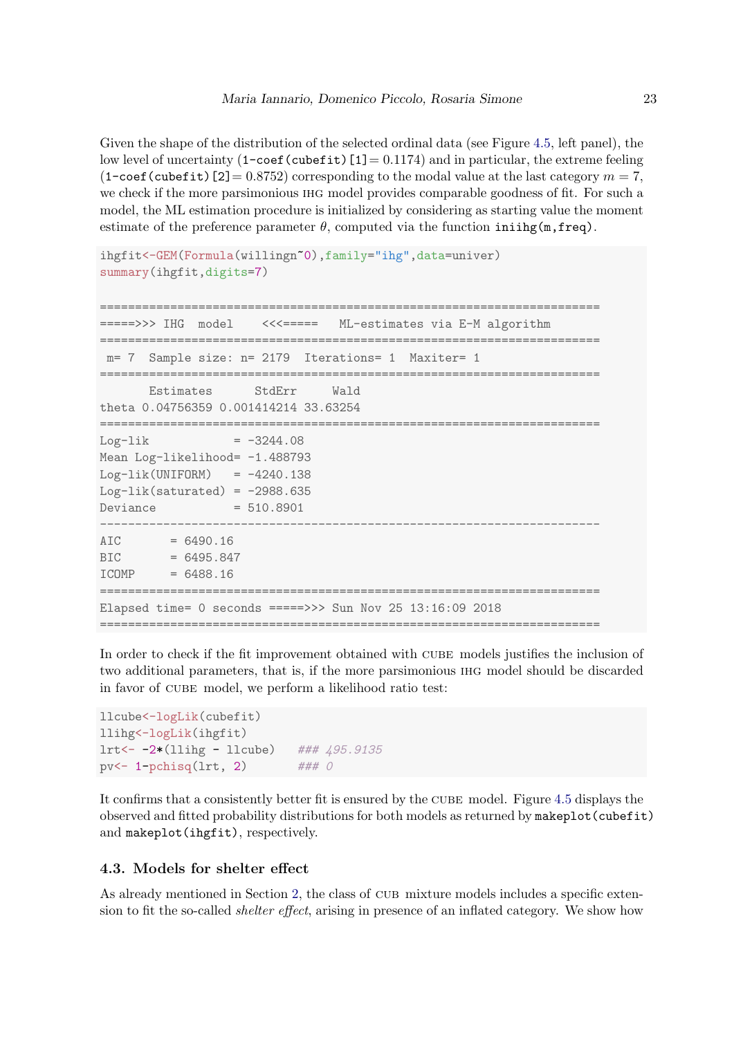Given the shape of the distribution of the selected ordinal data (see Figure [4.5,](#page-23-0) left panel), the low level of uncertainty  $(1-\text{coeff}(cubefit)$  [1] = 0.1174) and in particular, the extreme feeling  $(1$ -coef (cubefit) [2] = 0.8752) corresponding to the modal value at the last category  $m = 7$ , we check if the more parsimonious ihg model provides comparable goodness of fit. For such a model, the ML estimation procedure is initialized by considering as starting value the moment estimate of the preference parameter  $\theta$ , computed via the function initing(m, freq).

```
ihgfit<-GEM(Formula(willingn~0),family="ihg",data=univer)
summary(ihgfit,digits=7)
=======================================================================
=====>>> IHG model <<<===== ML-estimates via E-M algorithm
=======================================================================
 m= 7 Sample size: n= 2179 Iterations= 1 Maxiter= 1
=======================================================================
      Estimates StdErr Wald
theta 0.04756359 0.001414214 33.63254
=======================================================================
Log-1ik = -3244.08Mean Log-likelihood= -1.488793
Log-lik(UNIFORM) = -4240.138Log-lik(saturated) = -2988.635Deviance = 510.8901-----------------------------------------------------------------------
ATC = 6490.16BIC = 6495.847ICOMP = 6488.16=======================================================================
Elapsed time= 0 seconds =====>>> Sun Nov 25 13:16:09 2018
=======================================================================
```
In order to check if the fit improvement obtained with CUBE models justifies the inclusion of two additional parameters, that is, if the more parsimonious ihg model should be discarded in favor of cube model, we perform a likelihood ratio test:

```
llcube<-logLik(cubefit)
llihg<-logLik(ihgfit)
lrt <- -2*(11ihg - llcube) ### 495.9135
pv<- 1-pchisq(lrt, 2) ### 0
```
It confirms that a consistently better fit is ensured by the CUBE model. Figure [4.5](#page-23-0) displays the observed and fitted probability distributions for both models as returned by makeplot(cubefit) and makeplot(ihgfit), respectively.

## 4.3. Models for shelter effect

As already mentioned in Section [2,](#page-1-0) the class of CUB mixture models includes a specific extension to fit the so-called *shelter effect*, arising in presence of an inflated category. We show how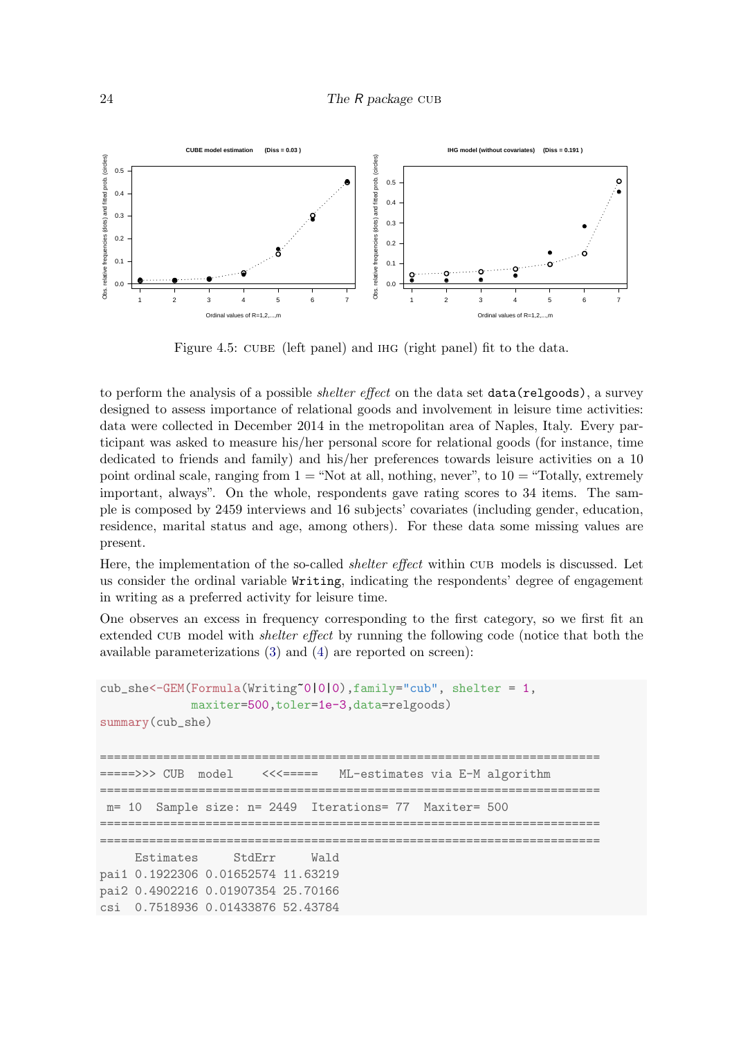<span id="page-23-0"></span>

Figure 4.5: CUBE (left panel) and IHG (right panel) fit to the data.

to perform the analysis of a possible *shelter effect* on the data set **data**(relgoods), a survey designed to assess importance of relational goods and involvement in leisure time activities: data were collected in December 2014 in the metropolitan area of Naples, Italy. Every participant was asked to measure his/her personal score for relational goods (for instance, time dedicated to friends and family) and his/her preferences towards leisure activities on a 10 point ordinal scale, ranging from  $1 =$  "Not at all, nothing, never", to  $10 =$  "Totally, extremely important, always". On the whole, respondents gave rating scores to 34 items. The sample is composed by 2459 interviews and 16 subjects' covariates (including gender, education, residence, marital status and age, among others). For these data some missing values are present.

Here, the implementation of the so-called *shelter effect* within CUB models is discussed. Let us consider the ordinal variable Writing, indicating the respondents' degree of engagement in writing as a preferred activity for leisure time.

One observes an excess in frequency corresponding to the first category, so we first fit an extended CUB model with *shelter effect* by running the following code (notice that both the available parameterizations [\(3\)](#page-3-0) and [\(4\)](#page-3-1) are reported on screen):

```
cub_she<-GEM(Formula(Writing~0|0|0),family="cub", shelter = 1,
            maxiter=500,toler=1e-3,data=relgoods)
summary(cub_she)
=======================================================================
        CUB model <<<===== ML-estimates via E-M algorithm
=======================================================================
    10 Sample size: n= 2449 Iterations= 77 Maxiter= 500
=======================================================================
=======================================================================
    Estimates StdErr Wald
pai1 0.1922306 0.01652574 11.63219
pai2 0.4902216 0.01907354 25.70166
csi 0.7518936 0.01433876 52.43784
```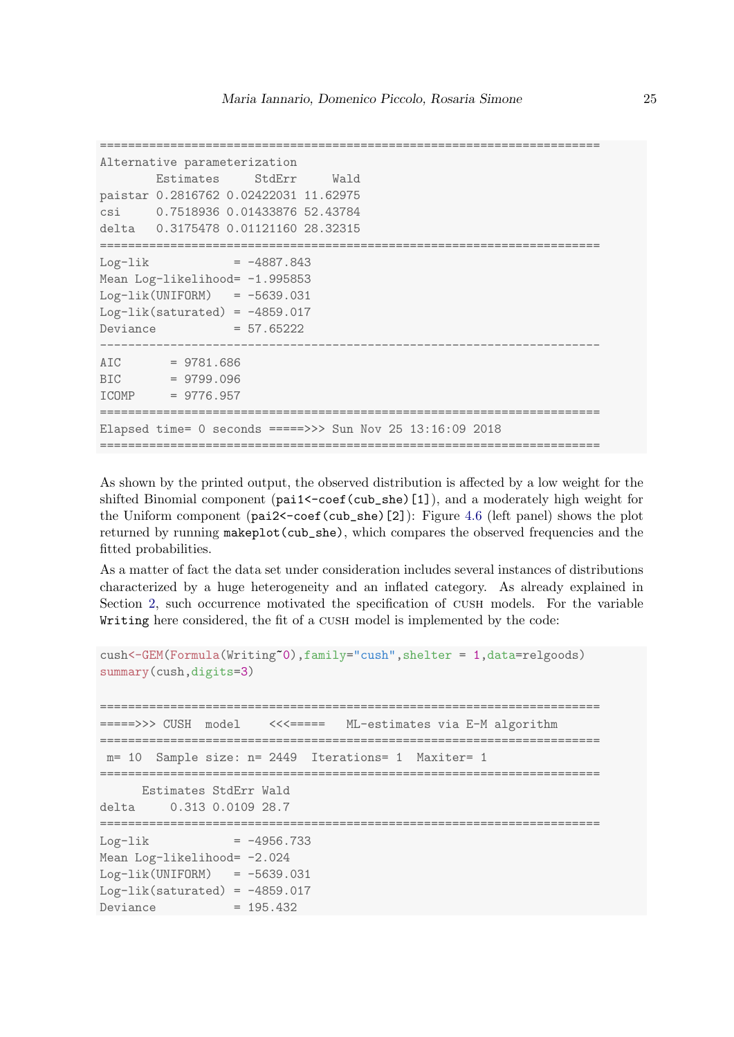```
=======================================================================
Alternative parameterization
      Estimates StdErr Wald
paistar 0.2816762 0.02422031 11.62975
csi 0.7518936 0.01433876 52.43784
delta 0.3175478 0.01121160 28.32315
=======================================================================
Log-1ik = -4887.843Mean Log-likelihood= -1.995853
Log-lik(UNIFORM) = -5639.031Log-lik(saturated) = -4859.017Deviance = 57.65222
-----------------------------------------------------------------------
AIC = 9781.686BIC = 9799.096
ICOMP = 9776.957
=======================================================================
Elapsed time= 0 seconds =====>>> Sun Nov 25 13:16:09 2018
=======================================================================
```
As shown by the printed output, the observed distribution is affected by a low weight for the shifted Binomial component (pai1<-coef(cub\_she)[1]), and a moderately high weight for the Uniform component (pai2<-coef(cub\_she)[2]): Figure [4.6](#page-25-0) (left panel) shows the plot returned by running makeplot(cub\_she), which compares the observed frequencies and the fitted probabilities.

As a matter of fact the data set under consideration includes several instances of distributions characterized by a huge heterogeneity and an inflated category. As already explained in Section [2,](#page-1-0) such occurrence motivated the specification of CUSH models. For the variable Writing here considered, the fit of a CUSH model is implemented by the code:

```
cush<-GEM(Formula(Writing~0),family="cush",shelter = 1,data=relgoods)
summary(cush,digits=3)
=======================================================================
=====>>> CUSH model <<<===== ML-estimates via E-M algorithm
=======================================================================
m= 10 Sample size: n= 2449 Iterations= 1 Maxiter= 1
=======================================================================
    Estimates StdErr Wald
delta 0.313 0.0109 28.7
=======================================================================
Log-1ik = -4956.733Mean Log-likelihood= -2.024
Log-lik(UNIFORM) = -5639.031Log-lik(saturated) = -4859.017Deviance = 195.432
```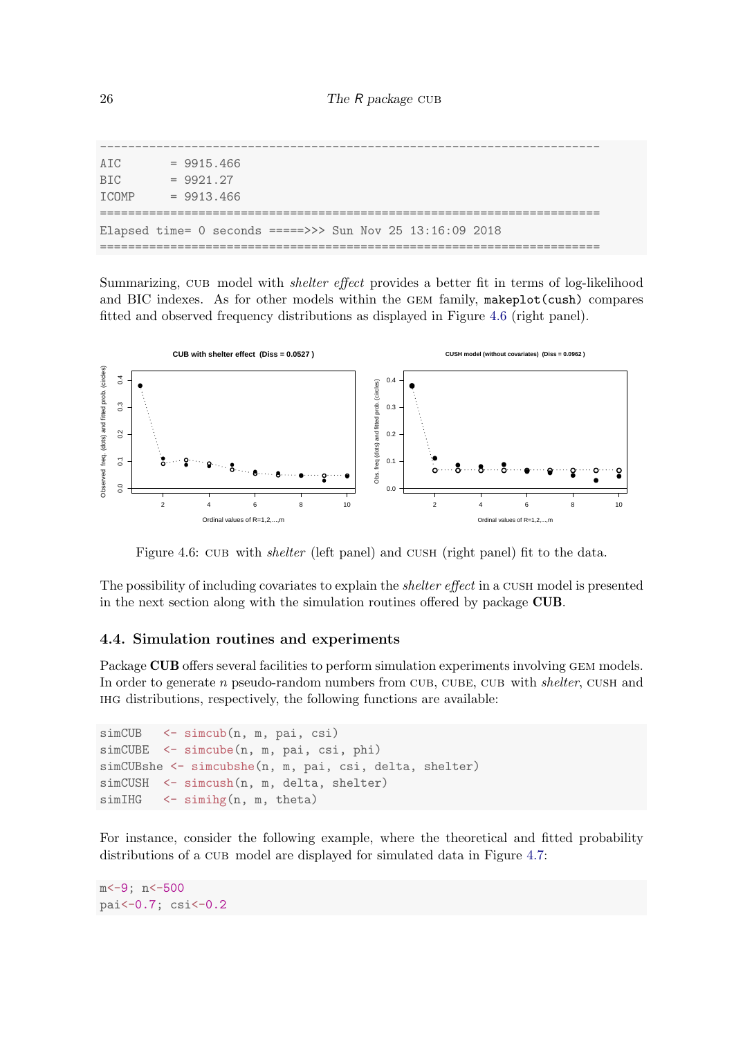| ATC             |  | $= 9915.466$ |              |  |  |  |  |                                                           |  |  |  |
|-----------------|--|--------------|--------------|--|--|--|--|-----------------------------------------------------------|--|--|--|
| B <sub>TC</sub> |  | $= 9921.27$  |              |  |  |  |  |                                                           |  |  |  |
| <b>TCOMP</b>    |  |              | $= 9913.466$ |  |  |  |  |                                                           |  |  |  |
|                 |  |              |              |  |  |  |  |                                                           |  |  |  |
|                 |  |              |              |  |  |  |  | Elapsed time= 0 seconds =====>>> Sun Nov 25 13:16:09 2018 |  |  |  |
|                 |  |              |              |  |  |  |  |                                                           |  |  |  |

Summarizing, CUB model with *shelter effect* provides a better fit in terms of log-likelihood and BIC indexes. As for other models within the GEM family, makeplot(cush) compares fitted and observed frequency distributions as displayed in Figure [4.6](#page-25-0) (right panel).

<span id="page-25-0"></span>

Figure 4.6: CUB with *shelter* (left panel) and CUSH (right panel) fit to the data.

The possibility of including covariates to explain the *shelter effect* in a CUSH model is presented in the next section along with the simulation routines offered by package CUB.

## 4.4. Simulation routines and experiments

Package CUB offers several facilities to perform simulation experiments involving GEM models. In order to generate  $n$  pseudo-random numbers from CUB, CUBE, CUB with shelter, CUSH and ihg distributions, respectively, the following functions are available:

```
simCUB <- simcub(n, m, pai, csi)
simCUBE <- simcube(n, m, pai, csi, phi)
simCUBshe <- simcubshe(n, m, pai, csi, delta, shelter)
simCUSH <- simcush(n, m, delta, shelter)
simIHG <- simihg(n, m, theta)
```
For instance, consider the following example, where the theoretical and fitted probability distributions of a CUB model are displayed for simulated data in Figure [4.7:](#page-26-0)

m <- 9; n <- 500 pai<-0.7; csi<-0.2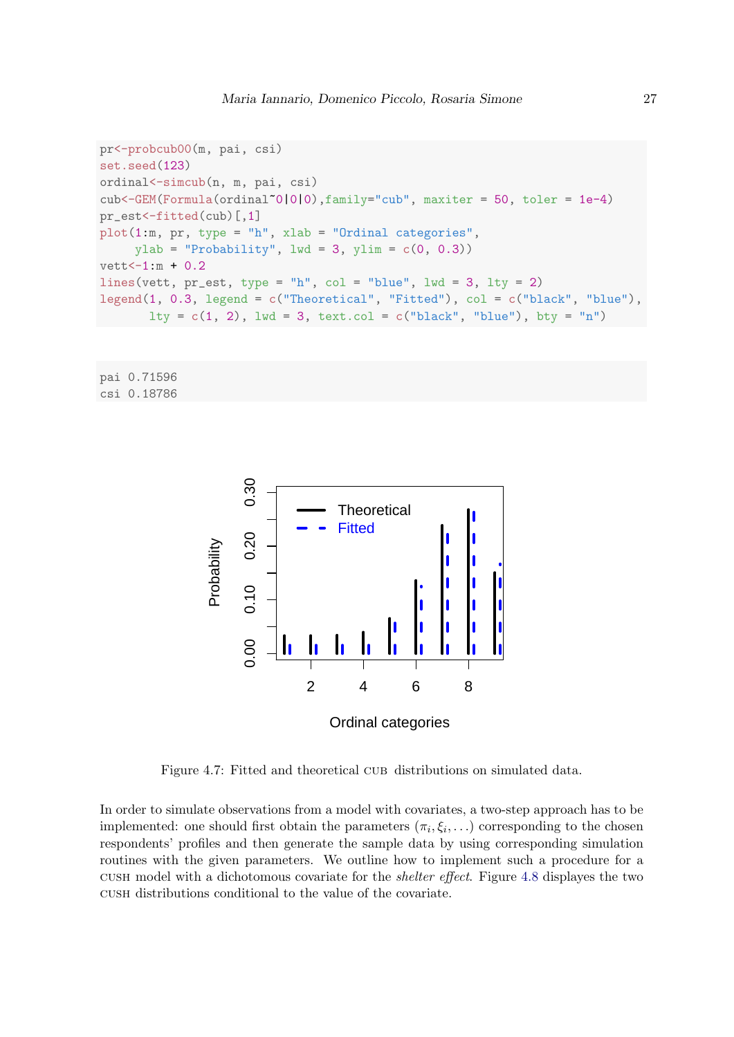```
pr<-probcub00(m, pai, csi)
set.seed(123)
ordinal<-simcub(n, m, pai, csi)
cub<-GEM(Formula(ordinal~0|0|0),family="cub", maxiter = 50, toler = 1e-4)
pr_est<-fitted(cub)[,1]
plot(1:m, pr, type = "h", xlab = "Ordinal categories",ylab = "Probability", 1wd = 3, ylim = c(0, 0.3))
vett<-1:m + 0.2lines(vett, pr\_est, type = "h", col = "blue", lwd = 3, lty = 2)
legend(1, 0.3, legend = c("Theoretical", "Fitted"), col = c("black", "blue"),
       lty = c(1, 2), lwd = 3, text.col = c("black", "blue"), bty = "n")
```
<span id="page-26-0"></span>pai 0.71596 csi 0.18786



Figure 4.7: Fitted and theoretical CUB distributions on simulated data.

In order to simulate observations from a model with covariates, a two-step approach has to be implemented: one should first obtain the parameters  $(\pi_i, \xi_i, \ldots)$  corresponding to the chosen respondents' profiles and then generate the sample data by using corresponding simulation routines with the given parameters. We outline how to implement such a procedure for a cush model with a dichotomous covariate for the shelter effect. Figure [4.8](#page-27-1) displayes the two cush distributions conditional to the value of the covariate.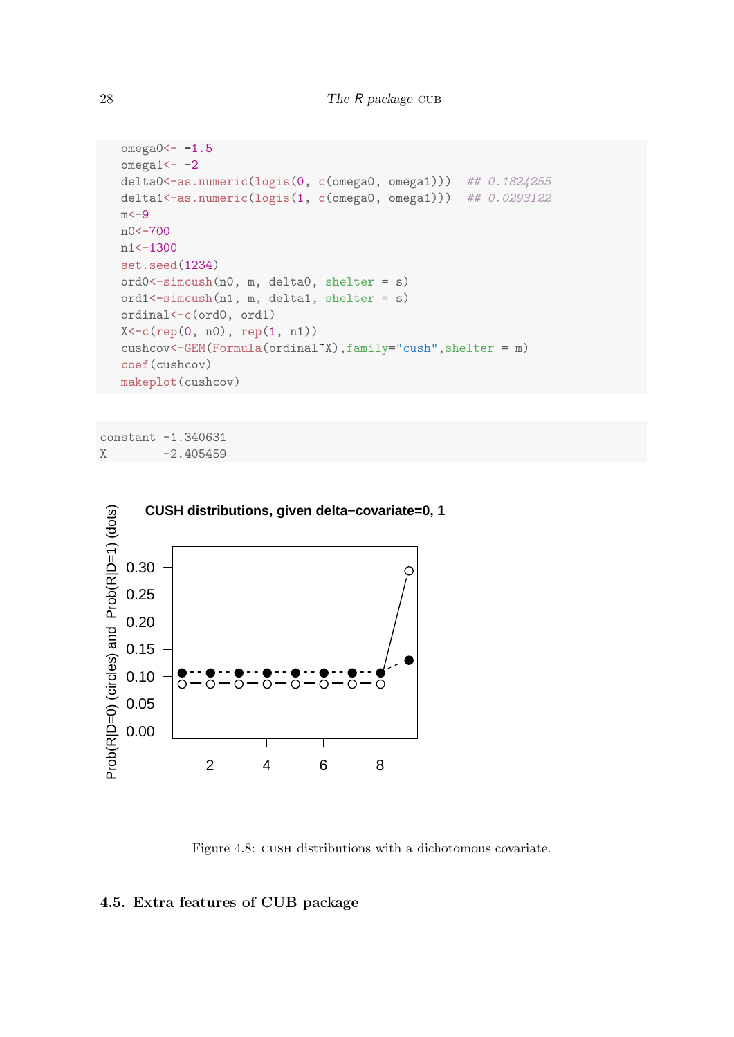```
omega0<-1.5omega1<-2delta0 <- as.numeric(logis(0, c(omega0, omega1))) ## 0.1824255
delta1<-as.numeric(logis(1, c(omega0, omega1))) ## 0.0293122
m < -9n0<-700
n1<-1300
set.seed(1234)
ord0<-simcush(n0, m, delta0, shelter = s)
ord1<-simcush(n1, m, delta1, shelter = s)
ordinal<-c(ord0, ord1)
X<-c(rep(0, n0), rep(1, n1))
cushcov<-GEM(Formula(ordinal~X),family="cush",shelter = m)
coef(cushcov)
makeplot(cushcov)
```
<span id="page-27-1"></span>constant -1.340631  $X -2.405459$ 



Figure 4.8: cush distributions with a dichotomous covariate.

## <span id="page-27-0"></span>4.5. Extra features of CUB package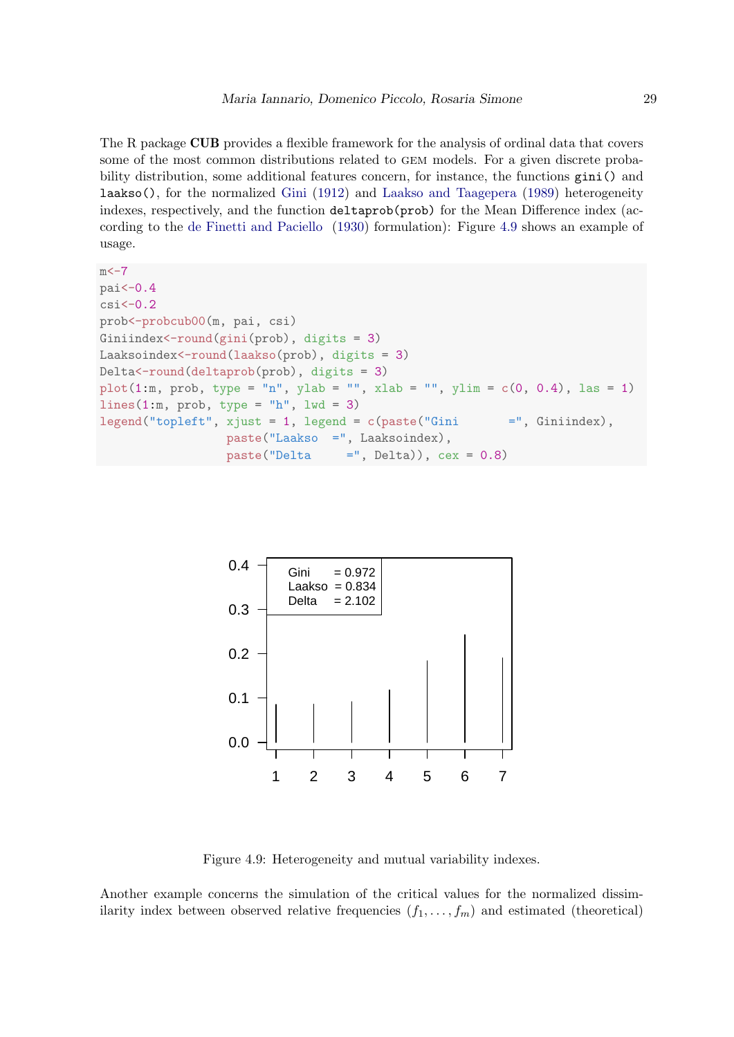The R package **CUB** provides a flexible framework for the analysis of ordinal data that covers some of the most common distributions related to gem models. For a given discrete probability distribution, some additional features concern, for instance, the functions gini() and laakso(), for the normalized [Gini](#page-33-15) [\(1912\)](#page-33-15) and [Laakso and Taagepera](#page-34-15) [\(1989\)](#page-34-15) heterogeneity indexes, respectively, and the function deltaprob(prob) for the Mean Difference index (according to the [de Finetti and Paciello](#page-33-16) [\(1930\)](#page-33-16) formulation): Figure [4.9](#page-28-0) shows an example of usage.

```
m < -7pai<-0.4
csi<-0.2prob<-probcub00(m, pai, csi)
Giniindex<-round(gini(prob), digits = 3)
Laaksoindex<-round(laakso(prob), digits = 3)
Delta<-round(deltaprob(prob), digits = 3)
plot(1:m, prob, type = "n", ylab = "", xlab = "", ylim = c(0, 0.4), las = 1)
lines(1:m, prob, type = "h", lwd = 3)
legend("topleft", xjust = 1, legend = c(paste("Gini =", Giniindex),paste("Laakso =", Laaksoindex),
                 paste("Delta = ", Delta)), cex = 0.8)
```
<span id="page-28-0"></span>

Figure 4.9: Heterogeneity and mutual variability indexes.

Another example concerns the simulation of the critical values for the normalized dissimilarity index between observed relative frequencies  $(f_1, \ldots, f_m)$  and estimated (theoretical)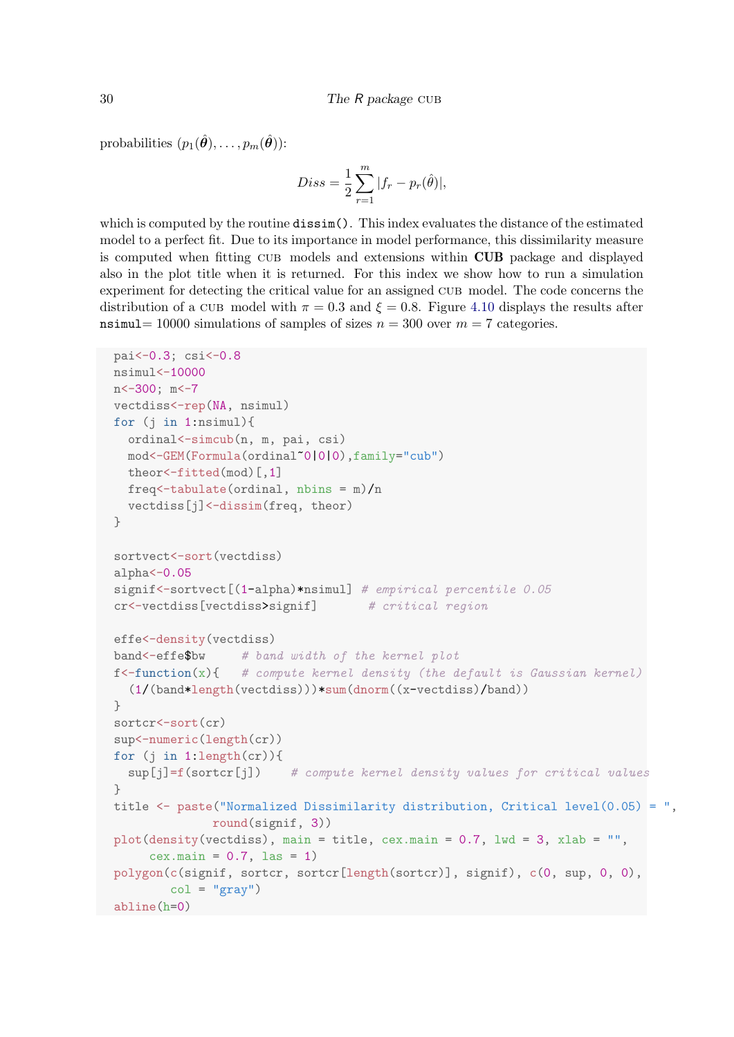probabilities  $(p_1(\hat{\theta}), \ldots, p_m(\hat{\theta}))$ :

$$
Diss = \frac{1}{2} \sum_{r=1}^{m} |f_r - p_r(\hat{\theta})|,
$$

which is computed by the routine **dissim**(). This index evaluates the distance of the estimated model to a perfect fit. Due to its importance in model performance, this dissimilarity measure is computed when fitting cub models and extensions within CUB package and displayed also in the plot title when it is returned. For this index we show how to run a simulation experiment for detecting the critical value for an assigned cub model. The code concerns the distribution of a CUB model with  $\pi = 0.3$  and  $\xi = 0.8$ . Figure [4.10](#page-30-0) displays the results after nsimul= 10000 simulations of samples of sizes  $n = 300$  over  $m = 7$  categories.

```
pai<-0.3; csi<-0.8
nsimul<-10000
n<-300; m<-7
vectdiss<-rep(NA, nsimul)
for (j in 1:nsimul){
 ordinal<-simcub(n, m, pai, csi)
 mod<-GEM(Formula(ordinal~0|0|0),family="cub")
 theor<-fitted(mod)[,1]
 freq<-tabulate(ordinal, nbins = m)/n
 vectdiss[j]<-dissim(freq, theor)
}
sortvect<-sort(vectdiss)
alpha<-0.05signif<-sortvect[(1-alpha)*nsimul] # empirical percentile 0.05
cr<-vectdiss[vectdiss>signif] # critical region
effe<-density(vectdiss)
band<-effe$bw # band width of the kernel plot
f \{- function(x)\{ # compute kernel density (the default is Gaussian kernel)
  (1/(band*length(vectdiss)))*sum(dnorm((x-vectdiss)/band))
}
sortcr<-sort(cr)
sup<-numeric(length(cr))
for (i in 1:length(cr))sup[j]=f(sortcr[j]) # compute kernel density values for critical values
}
title \leq paste("Normalized Dissimilarity distribution, Critical level(0.05) = ",
              round(signif, 3))
plot(density(vectdiss), main = title, cex.main = 0.7, lwd = 3, xlab = "",
     cex.mainloop = 0.7, 1as = 1)polygon(c(signif, sortcr, sortcr[length(sortcr)], signif), c(0, sup, 0, 0),
        col = "gray"abline(h=0)
```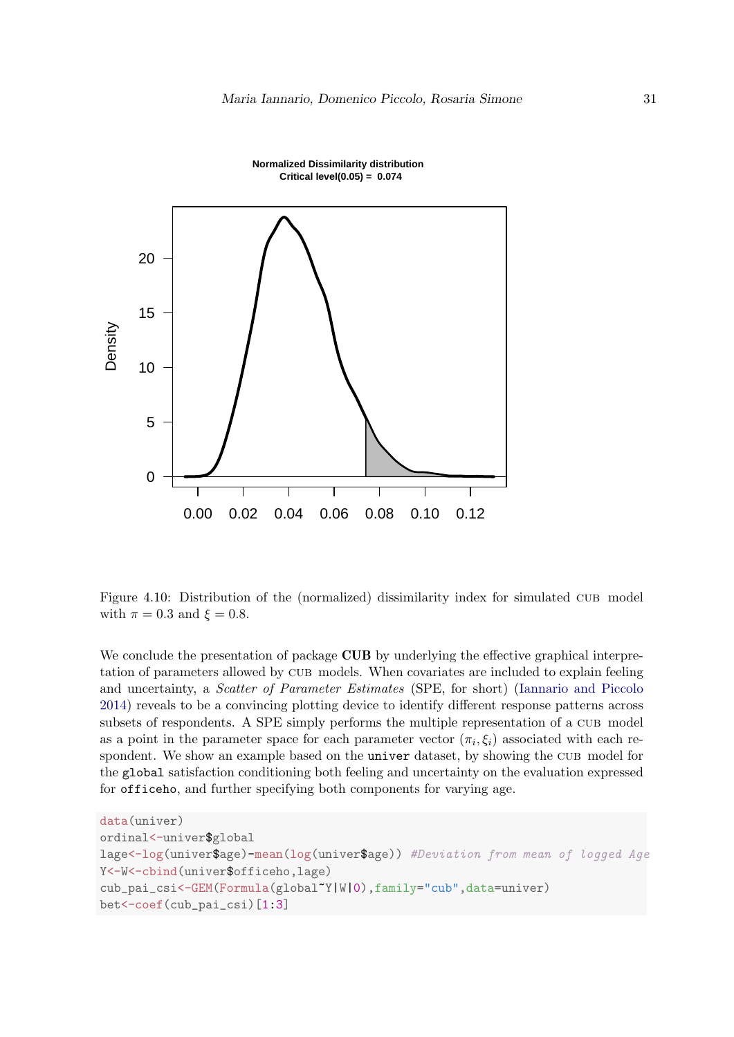<span id="page-30-0"></span>



Figure 4.10: Distribution of the (normalized) dissimilarity index for simulated cub model with  $\pi = 0.3$  and  $\xi = 0.8$ .

We conclude the presentation of package **CUB** by underlying the effective graphical interpretation of parameters allowed by cub models. When covariates are included to explain feeling and uncertainty, a Scatter of Parameter Estimates (SPE, for short) [\(Iannario and Piccolo](#page-34-16) [2014\)](#page-34-16) reveals to be a convincing plotting device to identify different response patterns across subsets of respondents. A SPE simply performs the multiple representation of a CUB model as a point in the parameter space for each parameter vector  $(\pi_i, \xi_i)$  associated with each respondent. We show an example based on the univer dataset, by showing the CUB model for the global satisfaction conditioning both feeling and uncertainty on the evaluation expressed for officeho, and further specifying both components for varying age.

```
data(univer)
ordinal<-univer$global
lage<-log(univer$age)-mean(log(univer$age)) #Deviation from mean of logged Age
Y<-W<-cbind(univer$officeho,lage)
cub_pai_csi<-GEM(Formula(global~Y|W|0),family="cub",data=univer)
bet<-coef(cub_pai_csi)[1:3]
```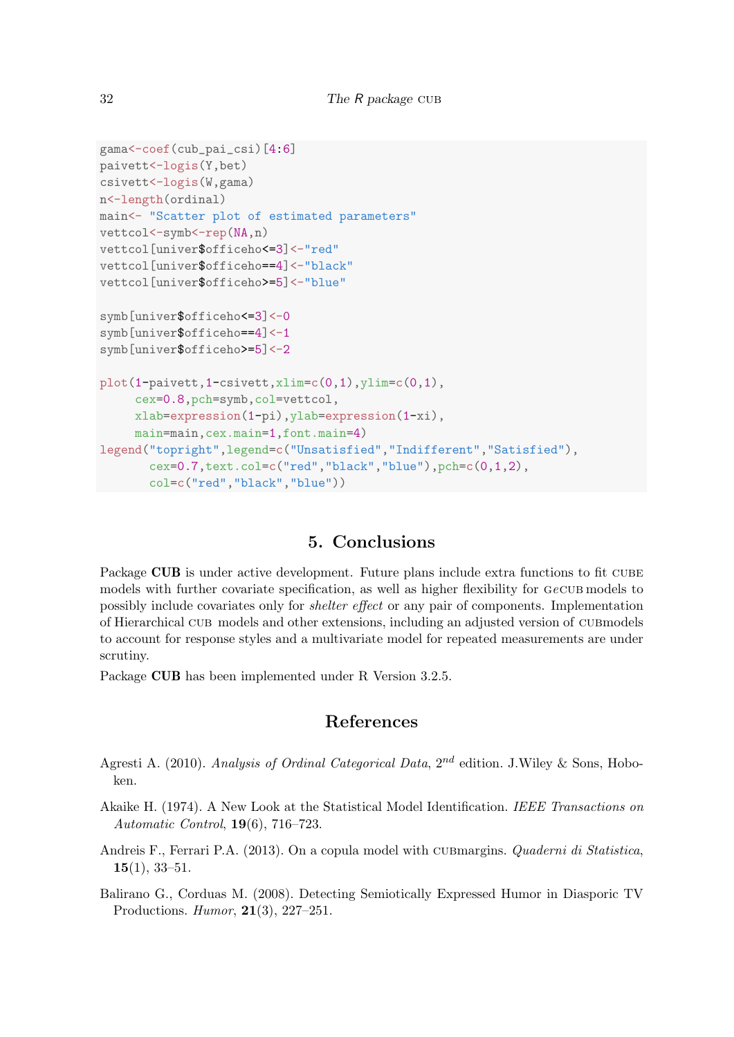```
gama<-coef(cub_pai_csi)[4:6]
paivett<-logis(Y,bet)
csivett<-logis(W,gama)
n<-length(ordinal)
main<- "Scatter plot of estimated parameters"
vettcol<-symb<-rep(NA,n)
vettcol[univer$officeho<=3]<-"red"
vettcol[univer$officeho==4]<-"black"
vettcol[univer$officeho>=5]<-"blue"
symb[univer$officeho<=3]<-0
symb[univer$officeho==4]<-1
symb[univer$officeho>=5]<-2
plot(1-paivett, 1-csivett, xlim=c(0,1), ylim=c(0,1),cex=0.8,pch=symb,col=vettcol,
     xlab=expression(1-pi),ylab=expression(1-xi),
     main=main,cex.main=1,font.main=4)
legend("topright",legend=c("Unsatisfied","Indifferent","Satisfied"),
       cex=0.7,text.col=c("red","black","blue"),pch=c(0,1,2),
       col=c("red","black","blue"))
```
# 5. Conclusions

Package CUB is under active development. Future plans include extra functions to fit CUBE models with further covariate specification, as well as higher flexibility for  $GeCUB$  models to possibly include covariates only for shelter effect or any pair of components. Implementation of Hierarchical cub models and other extensions, including an adjusted version of cubmodels to account for response styles and a multivariate model for repeated measurements are under scrutiny.

Package CUB has been implemented under R Version 3.2.5.

# References

- <span id="page-31-0"></span>Agresti A. (2010). Analysis of Ordinal Categorical Data,  $2^{nd}$  edition. J. Wiley & Sons, Hoboken.
- <span id="page-31-3"></span>Akaike H. (1974). A New Look at the Statistical Model Identification. IEEE Transactions on Automatic Control, 19(6), 716–723.
- <span id="page-31-2"></span>Andreis F., Ferrari P.A. (2013). On a copula model with CUBmargins. Quaderni di Statistica,  $15(1), 33-51.$
- <span id="page-31-1"></span>Balirano G., Corduas M. (2008). Detecting Semiotically Expressed Humor in Diasporic TV Productions. Humor, 21(3), 227–251.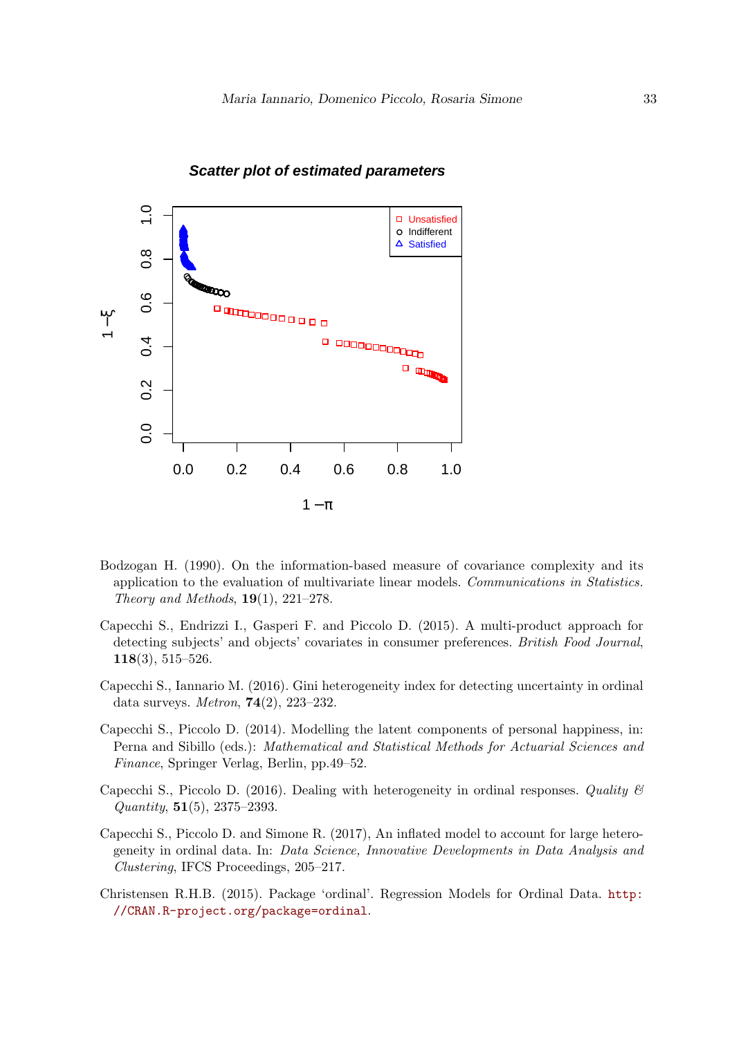

## **Scatter plot of estimated parameters**

- <span id="page-32-5"></span>Bodzogan H. (1990). On the information-based measure of covariance complexity and its application to the evaluation of multivariate linear models. Communications in Statistics. Theory and Methods,  $19(1)$ ,  $221-278$ .
- <span id="page-32-2"></span>Capecchi S., Endrizzi I., Gasperi F. and Piccolo D. (2015). A multi-product approach for detecting subjects' and objects' covariates in consumer preferences. British Food Journal, 118(3), 515–526.
- <span id="page-32-4"></span>Capecchi S., Iannario M. (2016). Gini heterogeneity index for detecting uncertainty in ordinal data surveys. Metron, 74(2), 223–232.
- <span id="page-32-1"></span>Capecchi S., Piccolo D. (2014). Modelling the latent components of personal happiness, in: Perna and Sibillo (eds.): Mathematical and Statistical Methods for Actuarial Sciences and Finance, Springer Verlag, Berlin, pp.49–52.
- <span id="page-32-3"></span>Capecchi S., Piccolo D. (2016). Dealing with heterogeneity in ordinal responses. Quality  $\mathscr B$ Quantity, 51(5), 2375–2393.
- Capecchi S., Piccolo D. and Simone R. (2017), An inflated model to account for large heterogeneity in ordinal data. In: Data Science, Innovative Developments in Data Analysis and Clustering, IFCS Proceedings, 205–217.
- <span id="page-32-0"></span>Christensen R.H.B. (2015). Package 'ordinal'. Regression Models for Ordinal Data. [http:](http://CRAN.R-project.org/package=ordinal) [//CRAN.R-project.org/package=ordinal](http://CRAN.R-project.org/package=ordinal).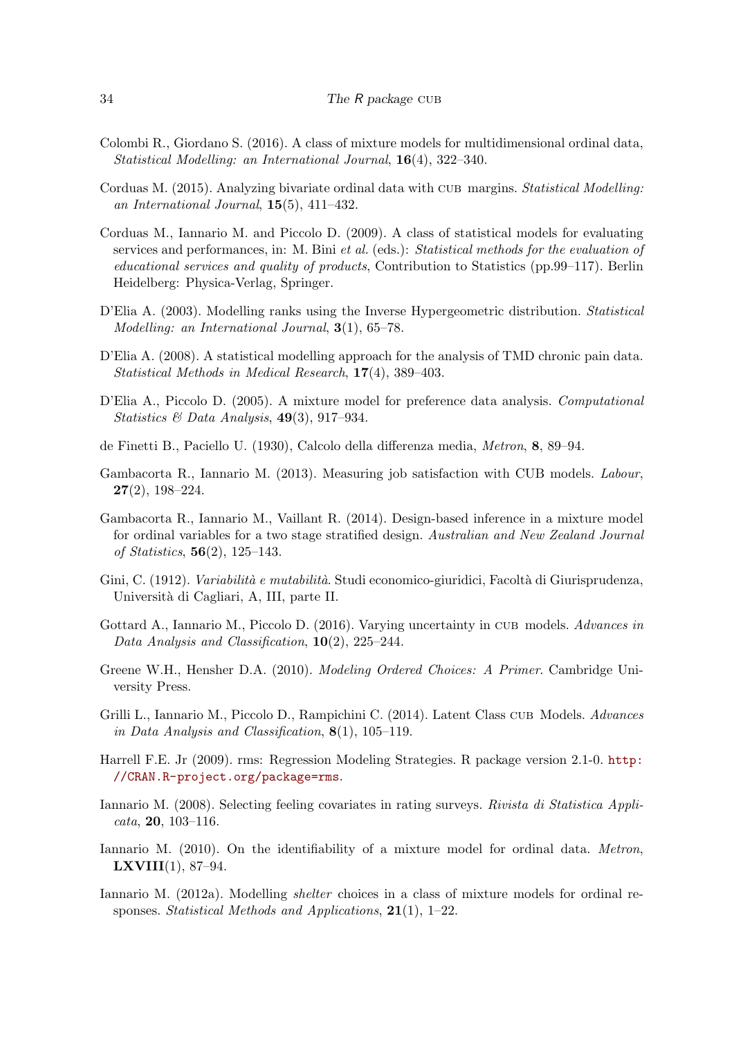- <span id="page-33-10"></span>Colombi R., Giordano S. (2016). A class of mixture models for multidimensional ordinal data, Statistical Modelling: an International Journal, 16(4), 322–340.
- <span id="page-33-9"></span>Corduas M. (2015). Analyzing bivariate ordinal data with CUB margins. Statistical Modelling: an International Journal, 15(5), 411–432.
- <span id="page-33-4"></span>Corduas M., Iannario M. and Piccolo D. (2009). A class of statistical models for evaluating services and performances, in: M. Bini et al. (eds.): Statistical methods for the evaluation of educational services and quality of products, Contribution to Statistics (pp.99–117). Berlin Heidelberg: Physica-Verlag, Springer.
- <span id="page-33-13"></span>D'Elia A. (2003). Modelling ranks using the Inverse Hypergeometric distribution. *Statistical* Modelling: an International Journal, 3(1), 65–78.
- <span id="page-33-8"></span>D'Elia A. (2008). A statistical modelling approach for the analysis of TMD chronic pain data. Statistical Methods in Medical Research, 17(4), 389–403.
- <span id="page-33-2"></span>D'Elia A., Piccolo D. (2005). A mixture model for preference data analysis. Computational Statistics & Data Analysis,  $49(3)$ , 917–934.
- <span id="page-33-16"></span>de Finetti B., Paciello U. (1930), Calcolo della differenza media, Metron, 8, 89–94.
- <span id="page-33-7"></span>Gambacorta R., Iannario M. (2013). Measuring job satisfaction with CUB models. Labour, 27(2), 198–224.
- <span id="page-33-5"></span>Gambacorta R., Iannario M., Vaillant R. (2014). Design-based inference in a mixture model for ordinal variables for a two stage stratified design. Australian and New Zealand Journal of Statistics, 56(2), 125–143.
- <span id="page-33-15"></span>Gini, C. (1912). *Variabilità e mutabilità*. Studi economico-giuridici, Facoltà di Giurisprudenza, Universit`a di Cagliari, A, III, parte II.
- <span id="page-33-12"></span>Gottard A., Iannario M., Piccolo D. (2016). Varying uncertainty in CUB models. Advances in Data Analysis and Classification, 10(2), 225–244.
- <span id="page-33-0"></span>Greene W.H., Hensher D.A. (2010). Modeling Ordered Choices: A Primer. Cambridge University Press.
- <span id="page-33-6"></span>Grilli L., Iannario M., Piccolo D., Rampichini C. (2014). Latent Class cub Models. Advances in Data Analysis and Classification,  $8(1)$ , 105-119.
- <span id="page-33-1"></span>Harrell F.E. Jr (2009). rms: Regression Modeling Strategies. R package version 2.1-0. [http:](http://CRAN.R-project.org/package=rms) [//CRAN.R-project.org/package=rms](http://CRAN.R-project.org/package=rms).
- <span id="page-33-14"></span>Iannario M. (2008). Selecting feeling covariates in rating surveys. Rivista di Statistica Appli- $\textit{cata}, 20, 103-116.$
- <span id="page-33-11"></span>Iannario M. (2010). On the identifiability of a mixture model for ordinal data. *Metron*, **LXVIII** $(1)$ , 87–94.
- <span id="page-33-3"></span>Iannario M. (2012a). Modelling shelter choices in a class of mixture models for ordinal responses. Statistical Methods and Applications, 21(1), 1–22.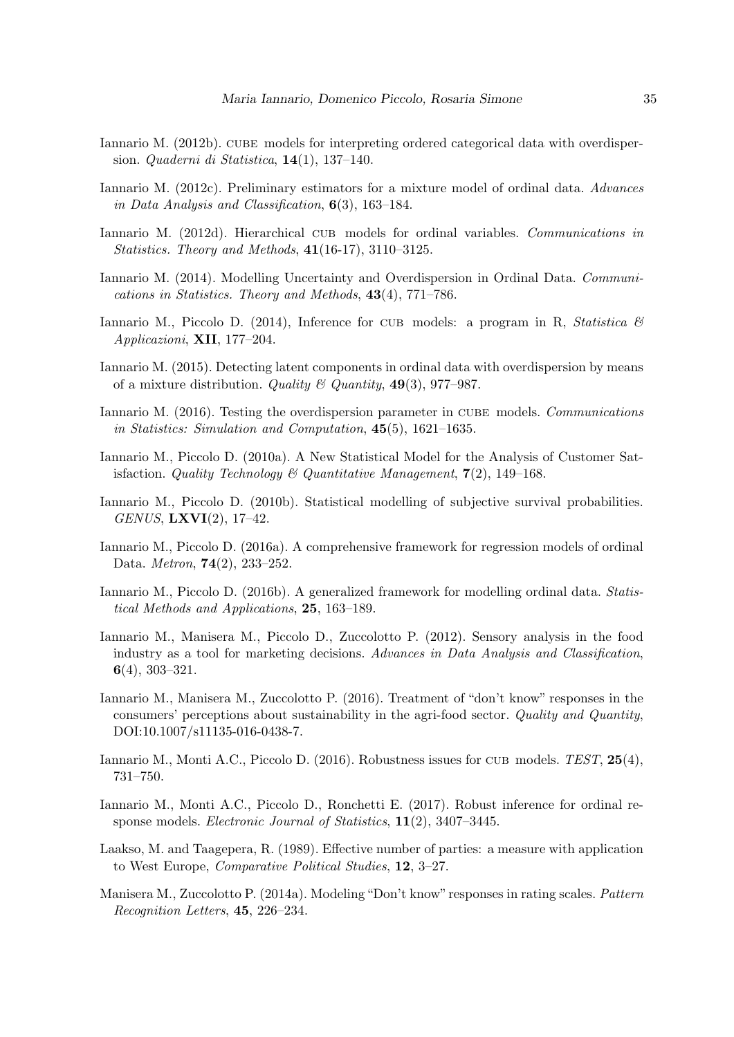- <span id="page-34-0"></span>Iannario M. (2012b). CUBE models for interpreting ordered categorical data with overdispersion. Quaderni di Statistica, 14(1), 137–140.
- <span id="page-34-5"></span>Iannario M. (2012c). Preliminary estimators for a mixture model of ordinal data. Advances in Data Analysis and Classification,  $6(3)$ , 163–184.
- <span id="page-34-6"></span>Iannario M. (2012d). Hierarchical cub models for ordinal variables. Communications in Statistics. Theory and Methods, 41(16-17), 3110–3125.
- <span id="page-34-7"></span>Iannario M. (2014). Modelling Uncertainty and Overdispersion in Ordinal Data. Communications in Statistics. Theory and Methods, 43(4), 771–786.
- <span id="page-34-16"></span>Iannario M., Piccolo D. (2014), Inference for CUB models: a program in R, Statistica  $\mathcal{B}$ Applicazioni, XII, 177–204.
- <span id="page-34-1"></span>Iannario M. (2015). Detecting latent components in ordinal data with overdispersion by means of a mixture distribution. Quality  $\mathcal{C}$  Quantity, 49(3), 977–987.
- <span id="page-34-14"></span>Iannario M. (2016). Testing the overdispersion parameter in CUBE models. Communications in Statistics: Simulation and Computation, 45(5), 1621–1635.
- <span id="page-34-2"></span>Iannario M., Piccolo D. (2010a). A New Statistical Model for the Analysis of Customer Satisfaction. Quality Technology & Quantitative Management,  $7(2)$ , 149-168.
- <span id="page-34-10"></span>Iannario M., Piccolo D. (2010b). Statistical modelling of subjective survival probabilities. GENUS, LXVI(2), 17–42.
- <span id="page-34-3"></span>Iannario M., Piccolo D. (2016a). A comprehensive framework for regression models of ordinal Data. Metron, 74(2), 233–252.
- <span id="page-34-13"></span>Iannario M., Piccolo D. (2016b). A generalized framework for modelling ordinal data. Statistical Methods and Applications, 25, 163–189.
- <span id="page-34-11"></span>Iannario M., Manisera M., Piccolo D., Zuccolotto P. (2012). Sensory analysis in the food industry as a tool for marketing decisions. Advances in Data Analysis and Classification, 6(4), 303–321.
- <span id="page-34-9"></span>Iannario M., Manisera M., Zuccolotto P. (2016). Treatment of "don't know" responses in the consumers' perceptions about sustainability in the agri-food sector. Quality and Quantity, DOI:10.1007/s11135-016-0438-7.
- <span id="page-34-4"></span>Iannario M., Monti A.C., Piccolo D. (2016). Robustness issues for CUB models. TEST, 25(4), 731–750.
- <span id="page-34-12"></span>Iannario M., Monti A.C., Piccolo D., Ronchetti E. (2017). Robust inference for ordinal response models. Electronic Journal of Statistics, 11(2), 3407–3445.
- <span id="page-34-15"></span>Laakso, M. and Taagepera, R. (1989). Effective number of parties: a measure with application to West Europe, Comparative Political Studies, 12, 3–27.
- <span id="page-34-8"></span>Manisera M., Zuccolotto P. (2014a). Modeling "Don't know" responses in rating scales. Pattern Recognition Letters, 45, 226–234.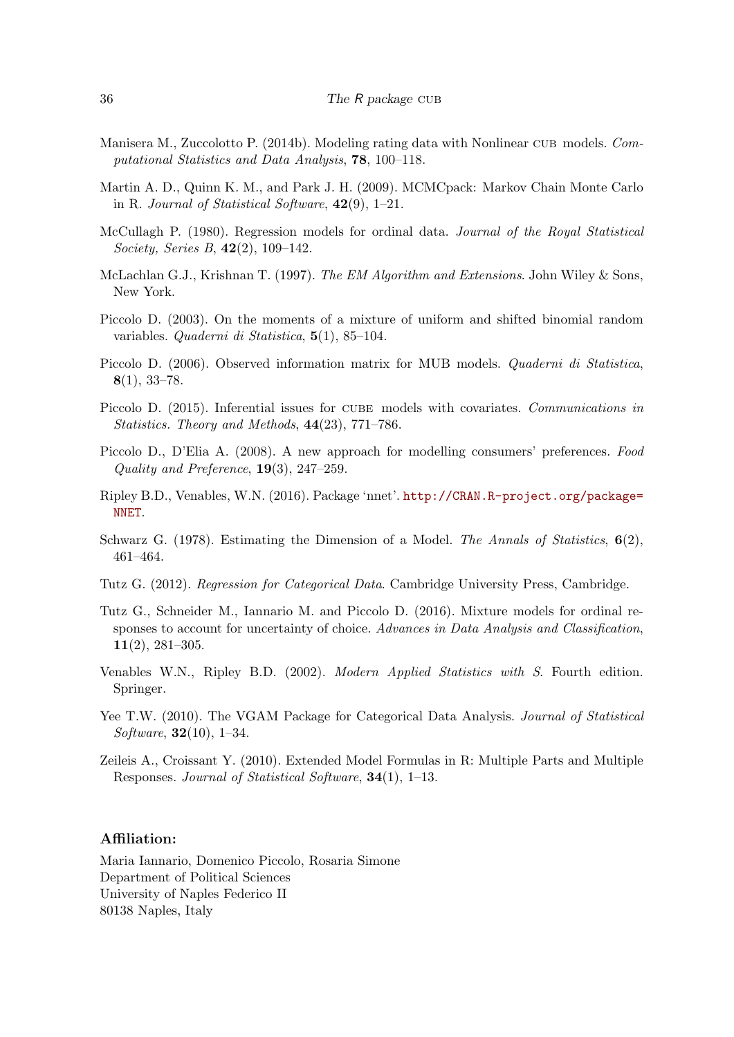- <span id="page-35-8"></span>Manisera M., Zuccolotto P. (2014b). Modeling rating data with Nonlinear CUB models. Computational Statistics and Data Analysis, 78, 100–118.
- <span id="page-35-5"></span>Martin A. D., Quinn K. M., and Park J. H. (2009). MCMCpack: Markov Chain Monte Carlo in R. Journal of Statistical Software,  $42(9)$ , 1–21.
- <span id="page-35-0"></span>McCullagh P. (1980). Regression models for ordinal data. Journal of the Royal Statistical Society, Series B, 42(2), 109–142.
- <span id="page-35-12"></span>McLachlan G.J., Krishnan T. (1997). The EM Algorithm and Extensions. John Wiley & Sons, New York.
- <span id="page-35-6"></span>Piccolo D. (2003). On the moments of a mixture of uniform and shifted binomial random variables. Quaderni di Statistica, 5(1), 85–104.
- <span id="page-35-13"></span>Piccolo D. (2006). Observed information matrix for MUB models. *Quaderni di Statistica*,  $8(1), 33-78.$
- <span id="page-35-11"></span>Piccolo D. (2015). Inferential issues for CUBE models with covariates. Communications in Statistics. Theory and Methods, 44(23), 771–786.
- <span id="page-35-9"></span>Piccolo D., D'Elia A. (2008). A new approach for modelling consumers' preferences. Food Quality and Preference, 19(3), 247–259.
- <span id="page-35-4"></span>Ripley B.D., Venables, W.N. (2016). Package 'nnet'. [http://CRAN.R-project.org/package=](http://CRAN.R-project.org/package=NNET) [NNET](http://CRAN.R-project.org/package=NNET).
- <span id="page-35-14"></span>Schwarz G. (1978). Estimating the Dimension of a Model. The Annals of Statistics,  $6(2)$ , 461–464.
- <span id="page-35-1"></span>Tutz G. (2012). Regression for Categorical Data. Cambridge University Press, Cambridge.
- <span id="page-35-7"></span>Tutz G., Schneider M., Iannario M. and Piccolo D. (2016). Mixture models for ordinal responses to account for uncertainty of choice. Advances in Data Analysis and Classification, 11(2), 281–305.
- <span id="page-35-2"></span>Venables W.N., Ripley B.D. (2002). Modern Applied Statistics with S. Fourth edition. Springer.
- <span id="page-35-3"></span>Yee T.W. (2010). The VGAM Package for Categorical Data Analysis. *Journal of Statistical* Software, 32(10), 1–34.
- <span id="page-35-10"></span>Zeileis A., Croissant Y. (2010). Extended Model Formulas in R: Multiple Parts and Multiple Responses. Journal of Statistical Software, 34(1), 1–13.

#### Affiliation:

Maria Iannario, Domenico Piccolo, Rosaria Simone Department of Political Sciences University of Naples Federico II 80138 Naples, Italy